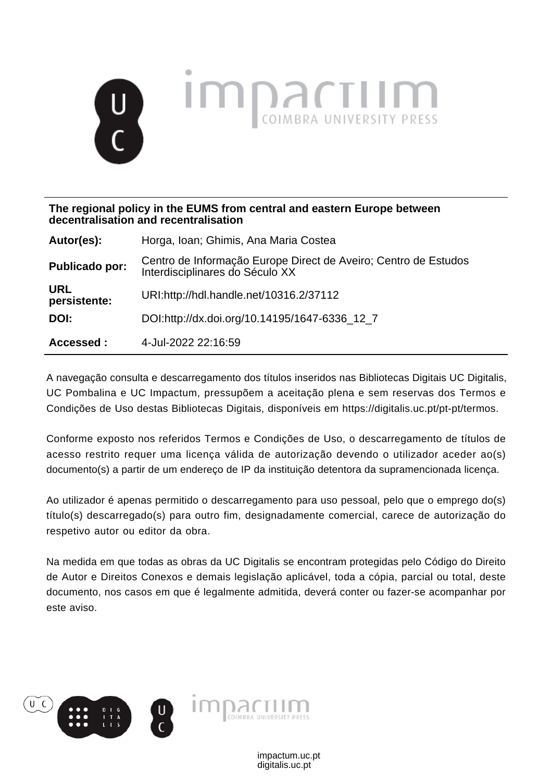

**The regional policy in the EUMS from central and eastern Europe between decentralisation and recentralisation**

| Autor(es):                 | Horga, Ioan; Ghimis, Ana Maria Costea                                                              |
|----------------------------|----------------------------------------------------------------------------------------------------|
| <b>Publicado por:</b>      | Centro de Informação Europe Direct de Aveiro; Centro de Estudos<br>Interdisciplinares do Século XX |
| <b>URL</b><br>persistente: | URI:http://hdl.handle.net/10316.2/37112                                                            |
| DOI:                       | DOI:http://dx.doi.org/10.14195/1647-6336_12_7                                                      |
| Accessed :                 | 4-Jul-2022 22:16:59                                                                                |

A navegação consulta e descarregamento dos títulos inseridos nas Bibliotecas Digitais UC Digitalis, UC Pombalina e UC Impactum, pressupõem a aceitação plena e sem reservas dos Termos e Condições de Uso destas Bibliotecas Digitais, disponíveis em https://digitalis.uc.pt/pt-pt/termos.

Conforme exposto nos referidos Termos e Condições de Uso, o descarregamento de títulos de acesso restrito requer uma licença válida de autorização devendo o utilizador aceder ao(s) documento(s) a partir de um endereço de IP da instituição detentora da supramencionada licença.

Ao utilizador é apenas permitido o descarregamento para uso pessoal, pelo que o emprego do(s) título(s) descarregado(s) para outro fim, designadamente comercial, carece de autorização do respetivo autor ou editor da obra.

Na medida em que todas as obras da UC Digitalis se encontram protegidas pelo Código do Direito de Autor e Direitos Conexos e demais legislação aplicável, toda a cópia, parcial ou total, deste documento, nos casos em que é legalmente admitida, deverá conter ou fazer-se acompanhar por este aviso.

> digitalis.uc.pt impactum.uc.pt

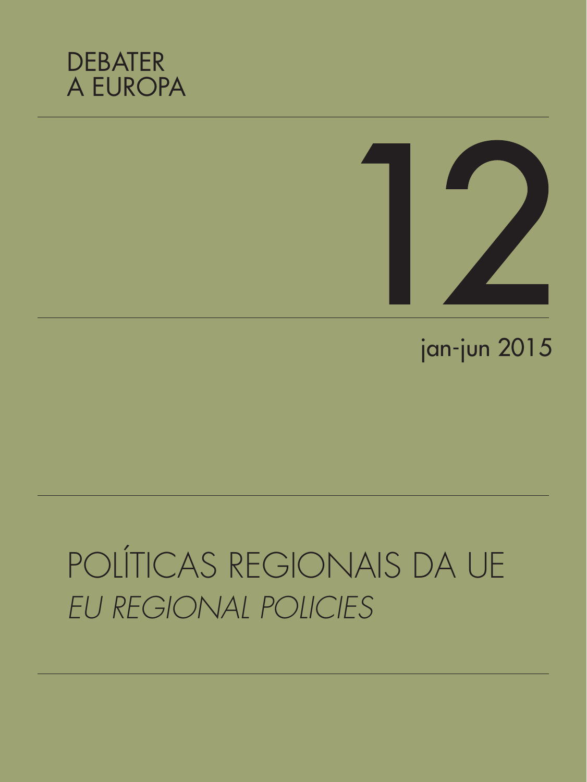



# jan-jun 2015

# POLÍTICAS REGIONAIS DA UE *EU REGIONAL POLICIES*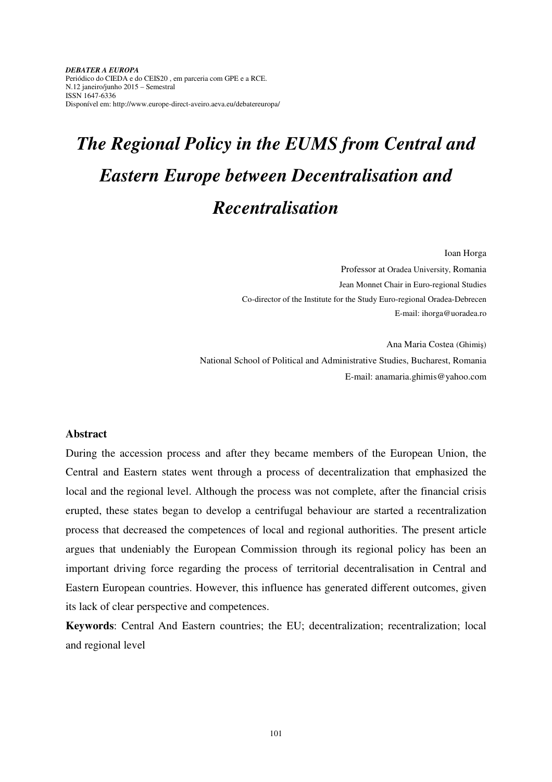*DEBATER A EUROPA*  Periódico do CIEDA e do CEIS20 , em parceria com GPE e a RCE. N.12 janeiro/junho 2015 – Semestral ISSN 1647-6336 Disponível em: http://www.europe-direct-aveiro.aeva.eu/debatereuropa/

## *The Regional Policy in the EUMS from Central and Eastern Europe between Decentralisation and Recentralisation*

Ioan Horga

Professor at Oradea University, Romania Jean Monnet Chair in Euro-regional Studies Co-director of the Institute for the Study Euro-regional Oradea-Debrecen E-mail: ihorga@uoradea.ro

Ana Maria Costea (Ghimiş) National School of Political and Administrative Studies, Bucharest, Romania E-mail: anamaria.ghimis@yahoo.com

#### **Abstract**

During the accession process and after they became members of the European Union, the Central and Eastern states went through a process of decentralization that emphasized the local and the regional level. Although the process was not complete, after the financial crisis erupted, these states began to develop a centrifugal behaviour are started a recentralization process that decreased the competences of local and regional authorities. The present article argues that undeniably the European Commission through its regional policy has been an important driving force regarding the process of territorial decentralisation in Central and Eastern European countries. However, this influence has generated different outcomes, given its lack of clear perspective and competences.

**Keywords**: Central And Eastern countries; the EU; decentralization; recentralization; local and regional level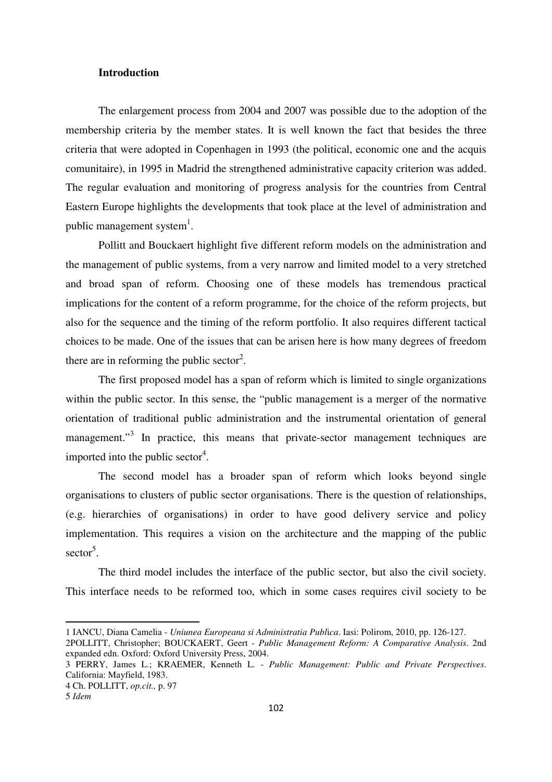#### **Introduction**

The enlargement process from 2004 and 2007 was possible due to the adoption of the membership criteria by the member states. It is well known the fact that besides the three criteria that were adopted in Copenhagen in 1993 (the political, economic one and the acquis comunitaire), in 1995 in Madrid the strengthened administrative capacity criterion was added. The regular evaluation and monitoring of progress analysis for the countries from Central Eastern Europe highlights the developments that took place at the level of administration and public management system $^1$ .

Pollitt and Bouckaert highlight five different reform models on the administration and the management of public systems, from a very narrow and limited model to a very stretched and broad span of reform. Choosing one of these models has tremendous practical implications for the content of a reform programme, for the choice of the reform projects, but also for the sequence and the timing of the reform portfolio. It also requires different tactical choices to be made. One of the issues that can be arisen here is how many degrees of freedom there are in reforming the public sector<sup>2</sup>.

 The first proposed model has a span of reform which is limited to single organizations within the public sector. In this sense, the "public management is a merger of the normative orientation of traditional public administration and the instrumental orientation of general management."<sup>3</sup> In practice, this means that private-sector management techniques are imported into the public sector<sup>4</sup>.

 The second model has a broader span of reform which looks beyond single organisations to clusters of public sector organisations. There is the question of relationships, (e.g. hierarchies of organisations) in order to have good delivery service and policy implementation. This requires a vision on the architecture and the mapping of the public sector<sup>5</sup>.

 The third model includes the interface of the public sector, but also the civil society. This interface needs to be reformed too, which in some cases requires civil society to be

<sup>1</sup> IANCU, Diana Camelia - *Uniunea Europeana si Administratia Publ*i*ca*. Iasi: Polirom, 2010, pp. 126-127.

<sup>2</sup>POLLITT, Christopher; BOUCKAERT, Geert - *Public Management Reform: A Comparative Analysis*. 2nd expanded edn. Oxford: Oxford University Press, 2004.

<sup>3</sup> PERRY, James L.; KRAEMER, Kenneth L. - *Public Management: Public and Private Perspectives*. California: Mayfield, 1983.

<sup>4</sup> Ch. POLLITT, *op.cit.,* p. 97

<sup>5</sup> *Idem*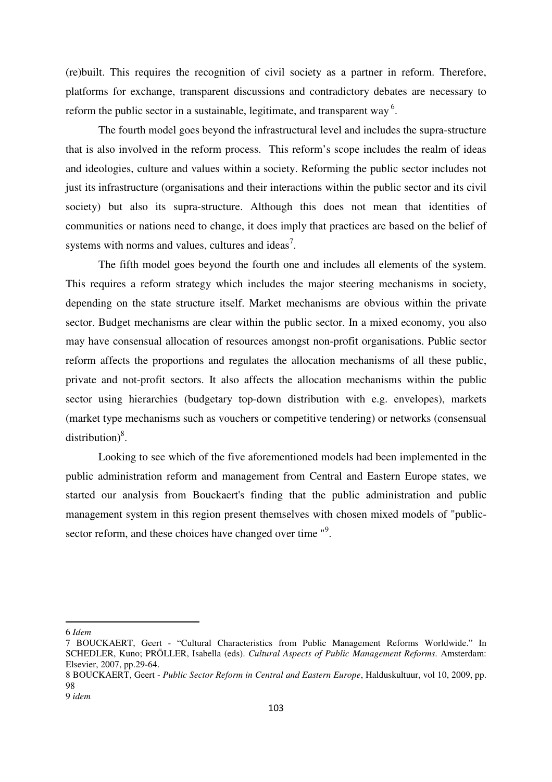(re)built. This requires the recognition of civil society as a partner in reform. Therefore, platforms for exchange, transparent discussions and contradictory debates are necessary to reform the public sector in a sustainable, legitimate, and transparent way<sup>6</sup>.

 The fourth model goes beyond the infrastructural level and includes the supra-structure that is also involved in the reform process. This reform's scope includes the realm of ideas and ideologies, culture and values within a society. Reforming the public sector includes not just its infrastructure (organisations and their interactions within the public sector and its civil society) but also its supra-structure. Although this does not mean that identities of communities or nations need to change, it does imply that practices are based on the belief of systems with norms and values, cultures and ideas<sup>7</sup>.

 The fifth model goes beyond the fourth one and includes all elements of the system. This requires a reform strategy which includes the major steering mechanisms in society, depending on the state structure itself. Market mechanisms are obvious within the private sector. Budget mechanisms are clear within the public sector. In a mixed economy, you also may have consensual allocation of resources amongst non-profit organisations. Public sector reform affects the proportions and regulates the allocation mechanisms of all these public, private and not-profit sectors. It also affects the allocation mechanisms within the public sector using hierarchies (budgetary top-down distribution with e.g. envelopes), markets (market type mechanisms such as vouchers or competitive tendering) or networks (consensual distribution) $8$ .

 Looking to see which of the five aforementioned models had been implemented in the public administration reform and management from Central and Eastern Europe states, we started our analysis from Bouckaert's finding that the public administration and public management system in this region present themselves with chosen mixed models of "publicsector reform, and these choices have changed over time "<sup>9</sup>.

<sup>6</sup> *Idem* 

<sup>7</sup> BOUCKAERT, Geert - "Cultural Characteristics from Public Management Reforms Worldwide." In SCHEDLER, Kuno; PRÖLLER, Isabella (eds). *Cultural Aspects of Public Management Reforms*. Amsterdam: Elsevier, 2007, pp.29-64.

<sup>8</sup> BOUCKAERT, Geert - *Public Sector Reform in Central and Eastern Europe*, Halduskultuur, vol 10, 2009, pp. 98

<sup>9</sup> *idem*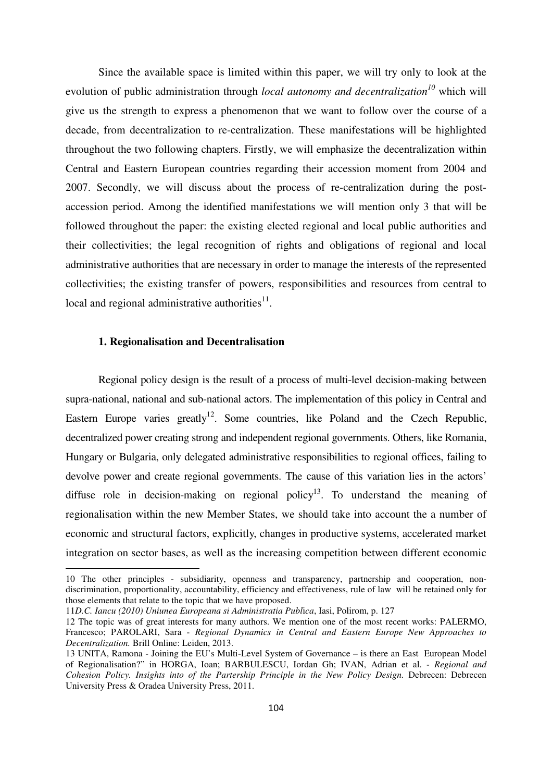Since the available space is limited within this paper, we will try only to look at the evolution of public administration through *local autonomy and decentralization<sup>10</sup>* which will give us the strength to express a phenomenon that we want to follow over the course of a decade, from decentralization to re-centralization. These manifestations will be highlighted throughout the two following chapters. Firstly, we will emphasize the decentralization within Central and Eastern European countries regarding their accession moment from 2004 and 2007. Secondly, we will discuss about the process of re-centralization during the postaccession period. Among the identified manifestations we will mention only 3 that will be followed throughout the paper: the existing elected regional and local public authorities and their collectivities; the legal recognition of rights and obligations of regional and local administrative authorities that are necessary in order to manage the interests of the represented collectivities; the existing transfer of powers, responsibilities and resources from central to local and regional administrative authorities $^{11}$ .

#### **1. Regionalisation and Decentralisation**

 $\overline{a}$ 

Regional policy design is the result of a process of multi-level decision-making between supra-national, national and sub-national actors. The implementation of this policy in Central and Eastern Europe varies greatly<sup>12</sup>. Some countries, like Poland and the Czech Republic, decentralized power creating strong and independent regional governments. Others, like Romania, Hungary or Bulgaria, only delegated administrative responsibilities to regional offices, failing to devolve power and create regional governments. The cause of this variation lies in the actors' diffuse role in decision-making on regional policy<sup>13</sup>. To understand the meaning of regionalisation within the new Member States, we should take into account the a number of economic and structural factors, explicitly, changes in productive systems, accelerated market integration on sector bases, as well as the increasing competition between different economic

<sup>10</sup> The other principles - subsidiarity, openness and transparency, partnership and cooperation, nondiscrimination, proportionality, accountability, efficiency and effectiveness, rule of law will be retained only for those elements that relate to the topic that we have proposed.

<sup>11</sup>*D.C. Iancu (2010) Uniunea Europeana si Administratia Publ*i*ca*, Iasi, Polirom, p. 127

<sup>12</sup> The topic was of great interests for many authors. We mention one of the most recent works: PALERMO, Francesco; PAROLARI, Sara - *Regional Dynamics in Central and Eastern Europe New Approaches to Decentralization.* Brill Online: Leiden, 2013.

<sup>13</sup> UNITA, Ramona - Joining the EU's Multi-Level System of Governance – is there an East European Model of Regionalisation?" in HORGA, Ioan; BARBULESCU, Iordan Gh; IVAN, Adrian et al. - *Regional and Cohesion Policy. Insights into of the Partership Principle in the New Policy Design.* Debrecen: Debrecen University Press & Oradea University Press, 2011.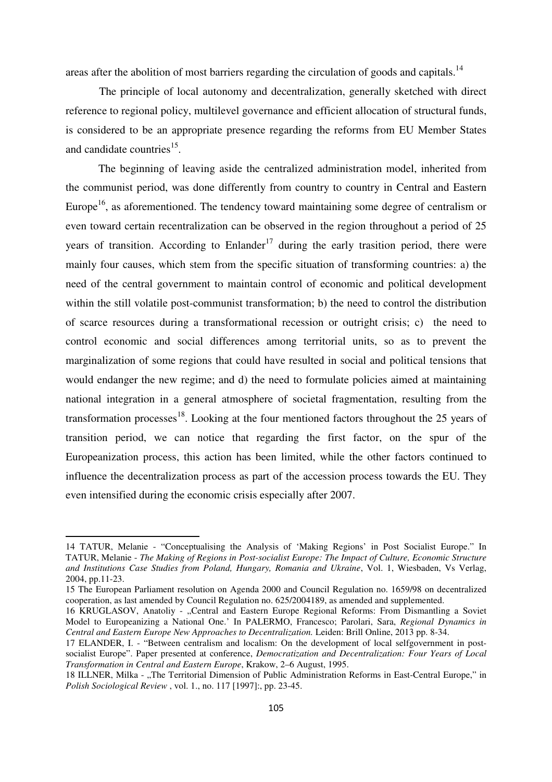areas after the abolition of most barriers regarding the circulation of goods and capitals. $<sup>14</sup>$ </sup>

The principle of local autonomy and decentralization, generally sketched with direct reference to regional policy, multilevel governance and efficient allocation of structural funds, is considered to be an appropriate presence regarding the reforms from EU Member States and candidate countries<sup>15</sup>.

The beginning of leaving aside the centralized administration model, inherited from the communist period, was done differently from country to country in Central and Eastern Europe<sup>16</sup>, as aforementioned. The tendency toward maintaining some degree of centralism or even toward certain recentralization can be observed in the region throughout a period of 25 years of transition. According to Enlander<sup>17</sup> during the early trasition period, there were mainly four causes, which stem from the specific situation of transforming countries: a) the need of the central government to maintain control of economic and political development within the still volatile post-communist transformation; b) the need to control the distribution of scarce resources during a transformational recession or outright crisis; c) the need to control economic and social differences among territorial units, so as to prevent the marginalization of some regions that could have resulted in social and political tensions that would endanger the new regime; and d) the need to formulate policies aimed at maintaining national integration in a general atmosphere of societal fragmentation, resulting from the transformation processes<sup>18</sup>. Looking at the four mentioned factors throughout the 25 years of transition period, we can notice that regarding the first factor, on the spur of the Europeanization process, this action has been limited, while the other factors continued to influence the decentralization process as part of the accession process towards the EU. They even intensified during the economic crisis especially after 2007.

<sup>14</sup> TATUR, Melanie - "Conceptualising the Analysis of 'Making Regions' in Post Socialist Europe." In TATUR, Melanie - *The Making of Regions in Post-socialist Europe: The Impact of Culture, Economic Structure and Institutions Case Studies from Poland, Hungary, Romania and Ukraine*, Vol. 1, Wiesbaden, Vs Verlag, 2004, pp.11-23.

<sup>15</sup> The European Parliament resolution on Agenda 2000 and Council Regulation no. 1659/98 on decentralized cooperation, as last amended by Council Regulation no. 625/2004189, as amended and supplemented.

<sup>16</sup> KRUGLASOV, Anatoliy - "Central and Eastern Europe Regional Reforms: From Dismantling a Soviet Model to Europeanizing a National One.' In PALERMO, Francesco; Parolari, Sara, *Regional Dynamics in Central and Eastern Europe New Approaches to Decentralization.* Leiden: Brill Online, 2013 pp. 8-34.

<sup>17</sup> ELANDER, I. - "Between centralism and localism: On the development of local selfgovernment in postsocialist Europe". Paper presented at conference, *Democratization and Decentralization: Four Years of Local Transformation in Central and Eastern Europe*, Krakow, 2–6 August, 1995.

<sup>18</sup> ILLNER, Milka - "The Territorial Dimension of Public Administration Reforms in East-Central Europe," in *Polish Sociological Review* , vol. 1., no. 117 [1997]:, pp. 23-45.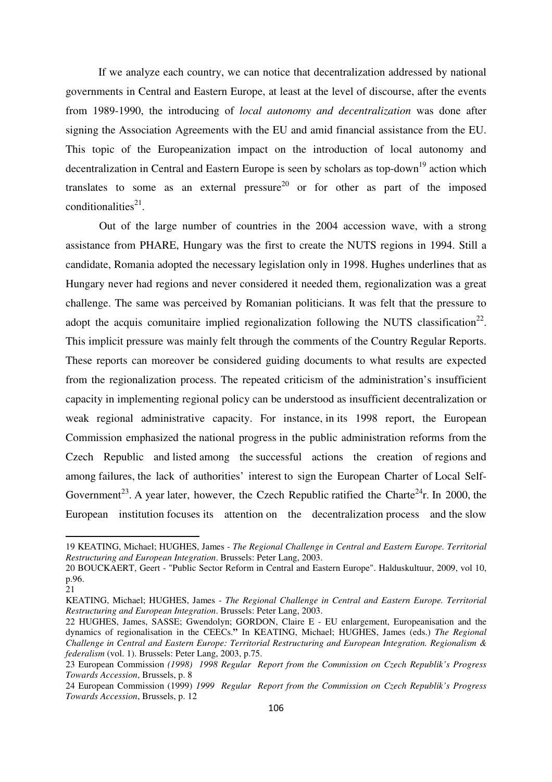If we analyze each country, we can notice that decentralization addressed by national governments in Central and Eastern Europe, at least at the level of discourse, after the events from 1989-1990, the introducing of *local autonomy and decentralization* was done after signing the Association Agreements with the EU and amid financial assistance from the EU. This topic of the Europeanization impact on the introduction of local autonomy and decentralization in Central and Eastern Europe is seen by scholars as top-down<sup>19</sup> action which translates to some as an external pressure<sup>20</sup> or for other as part of the imposed conditionalities $^{21}$ .

Out of the large number of countries in the 2004 accession wave, with a strong assistance from PHARE, Hungary was the first to create the NUTS regions in 1994. Still a candidate, Romania adopted the necessary legislation only in 1998. Hughes underlines that as Hungary never had regions and never considered it needed them, regionalization was a great challenge. The same was perceived by Romanian politicians. It was felt that the pressure to adopt the acquis comunitaire implied regionalization following the NUTS classification<sup>22</sup>. This implicit pressure was mainly felt through the comments of the Country Regular Reports. These reports can moreover be considered guiding documents to what results are expected from the regionalization process. The repeated criticism of the administration's insufficient capacity in implementing regional policy can be understood as insufficient decentralization or weak regional administrative capacity. For instance, in its 1998 report, the European Commission emphasized the national progress in the public administration reforms from the Czech Republic and listed among the successful actions the creation of regions and among failures, the lack of authorities' interest to sign the European Charter of Local Self-Government<sup>23</sup>. A year later, however, the Czech Republic ratified the Charte<sup>24</sup>r. In 2000, the European institution focuses its attention on the decentralization process and the slow

<sup>19</sup> KEATING, Michael; HUGHES, James - *The Regional Challenge in Central and Eastern Europe. Territorial Restructuring and European Integration*. Brussels: Peter Lang, 2003.

<sup>20</sup> BOUCKAERT, Geert - "Public Sector Reform in Central and Eastern Europe". Halduskultuur, 2009, vol 10, p.96.

<sup>21</sup> 

KEATING, Michael; HUGHES, James - *The Regional Challenge in Central and Eastern Europe. Territorial Restructuring and European Integration*. Brussels: Peter Lang, 2003.

<sup>22</sup> HUGHES, James, SASSE; Gwendolyn; GORDON, Claire E - EU enlargement, Europeanisation and the dynamics of regionalisation in the CEECs.**"** In KEATING, Michael; HUGHES, James (eds.) *The Regional Challenge in Central and Eastern Europe: Territorial Restructuring and European Integration. Regionalism & federalism* (vol. 1). Brussels: Peter Lang, 2003, p.75.

<sup>23</sup> European Commission *(1998) 1998 Regular Report from the Commission on Czech Republik's Progress Towards Accession*, Brussels, p. 8

<sup>24</sup> European Commission (1999) *1999 Regular Report from the Commission on Czech Republik's Progress Towards Accession*, Brussels, p. 12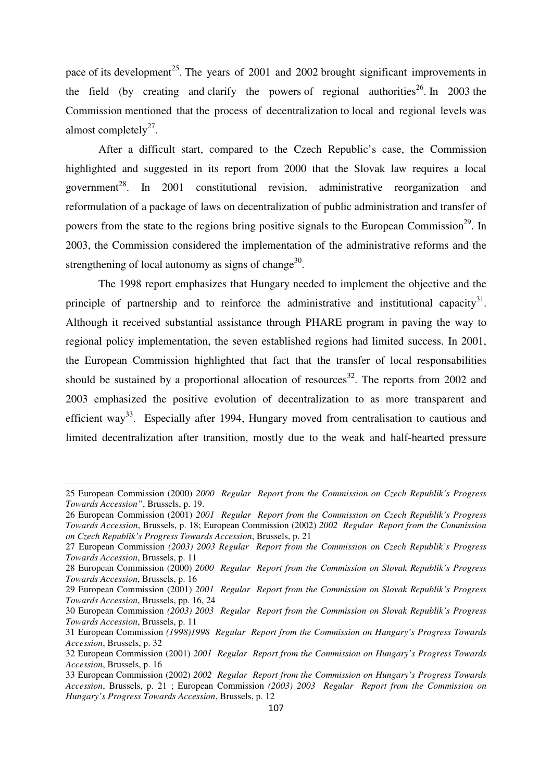pace of its development<sup>25</sup>. The years of 2001 and 2002 brought significant improvements in the field (by creating and clarify the powers of regional authorities<sup>26</sup>. In 2003 the Commission mentioned that the process of decentralization to local and regional levels was almost completely $2^7$ .

After a difficult start, compared to the Czech Republic's case, the Commission highlighted and suggested in its report from 2000 that the Slovak law requires a local government<sup>28</sup>. In 2001 constitutional revision, administrative reorganization and reformulation of a package of laws on decentralization of public administration and transfer of powers from the state to the regions bring positive signals to the European Commission<sup>29</sup>. In 2003, the Commission considered the implementation of the administrative reforms and the strengthening of local autonomy as signs of change $30$ .

The 1998 report emphasizes that Hungary needed to implement the objective and the principle of partnership and to reinforce the administrative and institutional capacity<sup>31</sup>. Although it received substantial assistance through PHARE program in paving the way to regional policy implementation, the seven established regions had limited success. In 2001, the European Commission highlighted that fact that the transfer of local responsabilities should be sustained by a proportional allocation of resources<sup>32</sup>. The reports from 2002 and 2003 emphasized the positive evolution of decentralization to as more transparent and efficient way<sup>33</sup>. Especially after 1994, Hungary moved from centralisation to cautious and limited decentralization after transition, mostly due to the weak and half-hearted pressure

<sup>25</sup> European Commission (2000) *2000 Regular Report from the Commission on Czech Republik's Progress Towards Accession"*, Brussels, p. 19.

<sup>26</sup> European Commission (2001) *2001 Regular Report from the Commission on Czech Republik's Progress Towards Accession*, Brussels, p. 18; European Commission (2002) *2002 Regular Report from the Commission on Czech Republik's Progress Towards Accession*, Brussels, p. 21

<sup>27</sup> European Commission *(2003) 2003 Regular Report from the Commission on Czech Republik's Progress Towards Accession*, Brussels, p. 11

<sup>28</sup> European Commission (2000) *2000 Regular Report from the Commission on Slovak Republik's Progress Towards Accession*, Brussels, p. 16

<sup>29</sup> European Commission (2001) *2001 Regular Report from the Commission on Slovak Republik's Progress Towards Accession*, Brussels, pp. 16, 24

<sup>30</sup> European Commission *(2003) 2003 Regular Report from the Commission on Slovak Republik's Progress Towards Accession*, Brussels, p. 11

<sup>31</sup> European Commission *(1998)1998 Regular Report from the Commission on Hungary's Progress Towards Accession*, Brussels, p. 32

<sup>32</sup> European Commission (2001) *2001 Regular Report from the Commission on Hungary's Progress Towards Accession*, Brussels, p. 16

<sup>33</sup> European Commission (2002) *2002 Regular Report from the Commission on Hungary's Progress Towards Accession*, Brussels, p. 21 ; European Commission *(2003) 2003 Regular Report from the Commission on Hungary's Progress Towards Accession*, Brussels, p. 12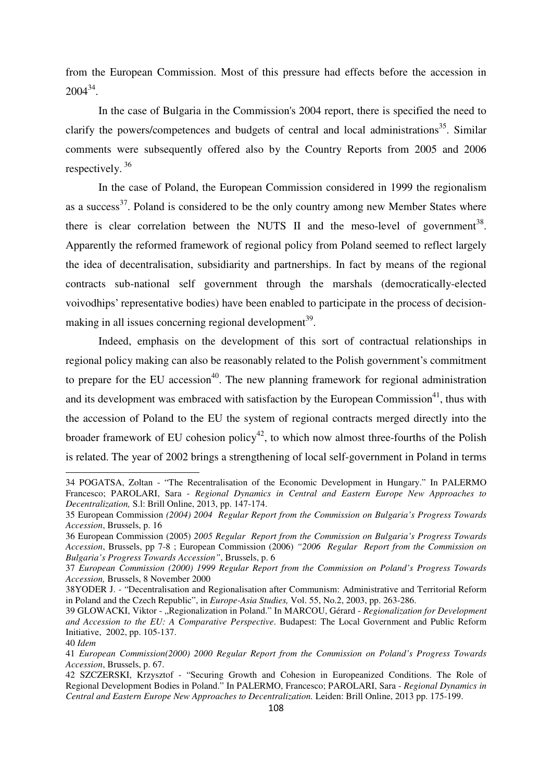from the European Commission. Most of this pressure had effects before the accession in  $2004^{34}$ .

In the case of Bulgaria in the Commission's 2004 report, there is specified the need to clarify the powers/competences and budgets of central and local administrations<sup>35</sup>. Similar comments were subsequently offered also by the Country Reports from 2005 and 2006 respectively.<sup>36</sup>

In the case of Poland, the European Commission considered in 1999 the regionalism as a success<sup>37</sup>. Poland is considered to be the only country among new Member States where there is clear correlation between the NUTS II and the meso-level of government<sup>38</sup>. Apparently the reformed framework of regional policy from Poland seemed to reflect largely the idea of decentralisation, subsidiarity and partnerships. In fact by means of the regional contracts sub-national self government through the marshals (democratically-elected voivodhips' representative bodies) have been enabled to participate in the process of decisionmaking in all issues concerning regional development<sup>39</sup>.

 Indeed, emphasis on the development of this sort of contractual relationships in regional policy making can also be reasonably related to the Polish government's commitment to prepare for the EU accession<sup>40</sup>. The new planning framework for regional administration and its development was embraced with satisfaction by the European Commission<sup>41</sup>, thus with the accession of Poland to the EU the system of regional contracts merged directly into the broader framework of EU cohesion policy<sup>42</sup>, to which now almost three-fourths of the Polish is related. The year of 2002 brings a strengthening of local self-government in Poland in terms

<sup>34</sup> POGATSA, Zoltan - "The Recentralisation of the Economic Development in Hungary." In PALERMO Francesco; PAROLARI, Sara - *Regional Dynamics in Central and Eastern Europe New Approaches to Decentralization,* S.l: Brill Online, 2013, pp. 147-174.

<sup>35</sup> European Commission *(2004) 2004 Regular Report from the Commission on Bulgaria's Progress Towards Accession*, Brussels, p. 16

<sup>36</sup> European Commission (2005) *2005 Regular Report from the Commission on Bulgaria's Progress Towards Accession*, Brussels, pp 7-8 ; European Commission (2006) *"2006 Regular Report from the Commission on Bulgaria's Progress Towards Accession"*, Brussels, p. 6

<sup>37</sup> *European Commission (2000) 1999 Regular Report from the Commission on Poland's Progress Towards Accession,* Brussels, 8 November 2000

<sup>38</sup>YODER J. - "Decentralisation and Regionalisation after Communism: Administrative and Territorial Reform in Poland and the Czech Republic", in *Europe-Asia Studies,* Vol. 55, No.2, 2003, pp. 263-286.

<sup>39</sup> GLOWACKI, Viktor - "Regionalization in Poland." In MARCOU, Gérard - *Regionalization for Development and Accession to the EU: A Comparative Perspective*. Budapest: The Local Government and Public Reform Initiative, 2002, pp. 105-137.

<sup>40</sup> *Idem* 

<sup>41</sup> *European Commission(2000) 2000 Regular Report from the Commission on Poland's Progress Towards Accession*, Brussels, p. 67.

<sup>42</sup> SZCZERSKI, Krzysztof - "Securing Growth and Cohesion in Europeanized Conditions. The Role of Regional Development Bodies in Poland." In PALERMO, Francesco; PAROLARI, Sara - *Regional Dynamics in Central and Eastern Europe New Approaches to Decentralization.* Leiden: Brill Online, 2013 pp. 175-199.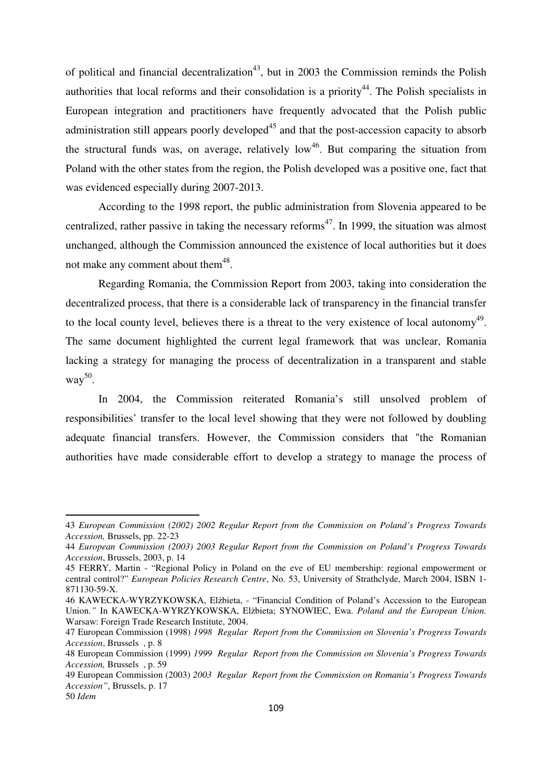of political and financial decentralization<sup>43</sup>, but in 2003 the Commission reminds the Polish authorities that local reforms and their consolidation is a priority<sup>44</sup>. The Polish specialists in European integration and practitioners have frequently advocated that the Polish public administration still appears poorly developed<sup>45</sup> and that the post-accession capacity to absorb the structural funds was, on average, relatively  $low<sup>46</sup>$ . But comparing the situation from Poland with the other states from the region, the Polish developed was a positive one, fact that was evidenced especially during 2007-2013.

According to the 1998 report, the public administration from Slovenia appeared to be centralized, rather passive in taking the necessary reforms<sup>47</sup>. In 1999, the situation was almost unchanged, although the Commission announced the existence of local authorities but it does not make any comment about them $48$ .

Regarding Romania, the Commission Report from 2003, taking into consideration the decentralized process, that there is a considerable lack of transparency in the financial transfer to the local county level, believes there is a threat to the very existence of local autonomy<sup>49</sup>. The same document highlighted the current legal framework that was unclear, Romania lacking a strategy for managing the process of decentralization in a transparent and stable way 50 .

In 2004, the Commission reiterated Romania's still unsolved problem of responsibilities' transfer to the local level showing that they were not followed by doubling adequate financial transfers. However, the Commission considers that "the Romanian authorities have made considerable effort to develop a strategy to manage the process of

<sup>43</sup> *European Commission (2002) 2002 Regular Report from the Commission on Poland's Progress Towards Accession,* Brussels, pp. 22-23

<sup>44</sup> *European Commission (2003) 2003 Regular Report from the Commission on Poland's Progress Towards Accession*, Brussels, 2003, p. 14

<sup>45</sup> FERRY, Martin - "Regional Policy in Poland on the eve of EU membership: regional empowerment or central control?" *European Policies Research Centre*, No. 53, University of Strathclyde, March 2004, ISBN 1- 871130-59-X.

<sup>46</sup> KAWECKA-WYRZYKOWSKA, Elżbieta, - "Financial Condition of Poland's Accession to the European Union.*"* In KAWECKA-WYRZYKOWSKA, Elżbieta; SYNOWIEC, Ewa. *Poland and the European Union.*  Warsaw: Foreign Trade Research Institute, 2004.

<sup>47</sup> European Commission (1998) *1998 Regular Report from the Commission on Slovenia's Progress Towards Accession*, Brussels , p. 8

<sup>48</sup> European Commission (1999) *1999 Regular Report from the Commission on Slovenia's Progress Towards Accession,* Brussels , p. 59

<sup>49</sup> European Commission (2003) *2003 Regular Report from the Commission on Romania's Progress Towards Accession"*, Brussels, p. 17

<sup>50</sup> *Idem*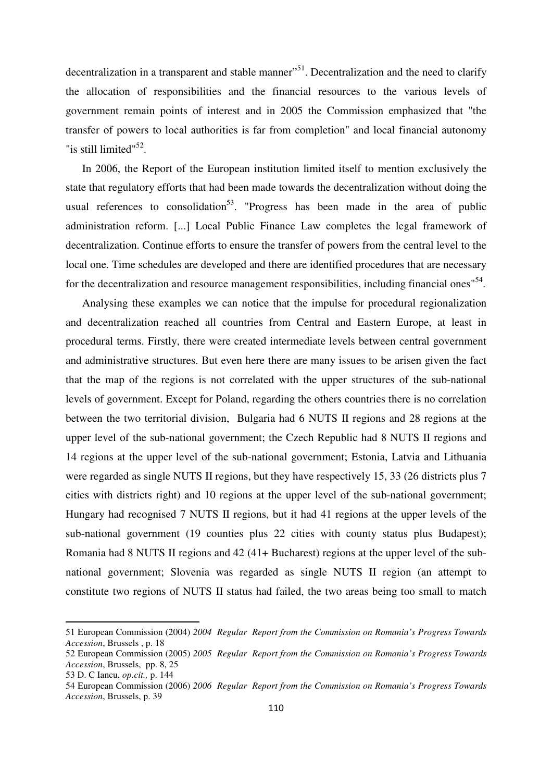decentralization in a transparent and stable manner<sup>151</sup>. Decentralization and the need to clarify the allocation of responsibilities and the financial resources to the various levels of government remain points of interest and in 2005 the Commission emphasized that "the transfer of powers to local authorities is far from completion" and local financial autonomy "is still limited"<sup>52</sup>.

In 2006, the Report of the European institution limited itself to mention exclusively the state that regulatory efforts that had been made towards the decentralization without doing the usual references to consolidation<sup>53</sup>. "Progress has been made in the area of public administration reform. [...] Local Public Finance Law completes the legal framework of decentralization. Continue efforts to ensure the transfer of powers from the central level to the local one. Time schedules are developed and there are identified procedures that are necessary for the decentralization and resource management responsibilities, including financial ones<sup>154</sup>.

Analysing these examples we can notice that the impulse for procedural regionalization and decentralization reached all countries from Central and Eastern Europe, at least in procedural terms. Firstly, there were created intermediate levels between central government and administrative structures. But even here there are many issues to be arisen given the fact that the map of the regions is not correlated with the upper structures of the sub-national levels of government. Except for Poland, regarding the others countries there is no correlation between the two territorial division, Bulgaria had 6 NUTS II regions and 28 regions at the upper level of the sub-national government; the Czech Republic had 8 NUTS II regions and 14 regions at the upper level of the sub-national government; Estonia, Latvia and Lithuania were regarded as single NUTS II regions, but they have respectively 15, 33 (26 districts plus 7 cities with districts right) and 10 regions at the upper level of the sub-national government; Hungary had recognised 7 NUTS II regions, but it had 41 regions at the upper levels of the sub-national government (19 counties plus 22 cities with county status plus Budapest); Romania had 8 NUTS II regions and 42 (41+ Bucharest) regions at the upper level of the subnational government; Slovenia was regarded as single NUTS II region (an attempt to constitute two regions of NUTS II status had failed, the two areas being too small to match

<sup>51</sup> European Commission (2004) *2004 Regular Report from the Commission on Romania's Progress Towards Accession*, Brussels , p. 18

<sup>52</sup> European Commission (2005) *2005 Regular Report from the Commission on Romania's Progress Towards Accession*, Brussels, pp. 8, 25

<sup>53</sup> D. C Iancu, *op.cit.,* p. 144

<sup>54</sup> European Commission (2006) *2006 Regular Report from the Commission on Romania's Progress Towards Accession*, Brussels, p. 39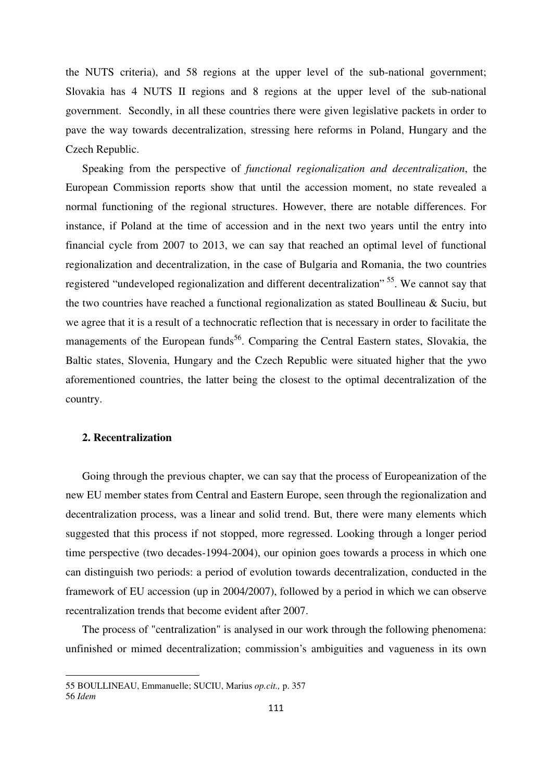the NUTS criteria), and 58 regions at the upper level of the sub-national government; Slovakia has 4 NUTS II regions and 8 regions at the upper level of the sub-national government. Secondly, in all these countries there were given legislative packets in order to pave the way towards decentralization, stressing here reforms in Poland, Hungary and the Czech Republic.

Speaking from the perspective of *functional regionalization and decentralization*, the European Commission reports show that until the accession moment, no state revealed a normal functioning of the regional structures. However, there are notable differences. For instance, if Poland at the time of accession and in the next two years until the entry into financial cycle from 2007 to 2013, we can say that reached an optimal level of functional regionalization and decentralization, in the case of Bulgaria and Romania, the two countries registered "undeveloped regionalization and different decentralization"<sup>55</sup>. We cannot say that the two countries have reached a functional regionalization as stated Boullineau & Suciu, but we agree that it is a result of a technocratic reflection that is necessary in order to facilitate the managements of the European funds<sup>56</sup>. Comparing the Central Eastern states, Slovakia, the Baltic states, Slovenia, Hungary and the Czech Republic were situated higher that the ywo aforementioned countries, the latter being the closest to the optimal decentralization of the country.

#### **2. Recentralization**

l

Going through the previous chapter, we can say that the process of Europeanization of the new EU member states from Central and Eastern Europe, seen through the regionalization and decentralization process, was a linear and solid trend. But, there were many elements which suggested that this process if not stopped, more regressed. Looking through a longer period time perspective (two decades-1994-2004), our opinion goes towards a process in which one can distinguish two periods: a period of evolution towards decentralization, conducted in the framework of EU accession (up in 2004/2007), followed by a period in which we can observe recentralization trends that become evident after 2007.

The process of "centralization" is analysed in our work through the following phenomena: unfinished or mimed decentralization; commission's ambiguities and vagueness in its own

<sup>55</sup> BOULLINEAU, Emmanuelle; SUCIU, Marius *op.cit.,* p. 357 56 *Idem*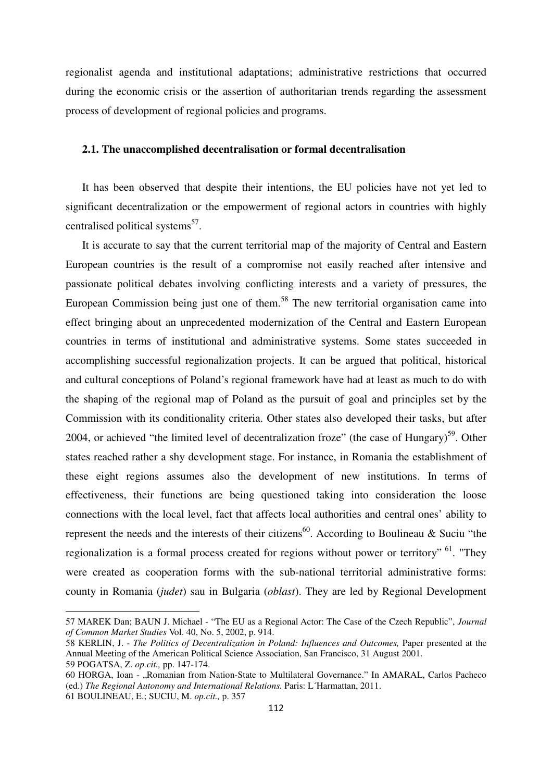regionalist agenda and institutional adaptations; administrative restrictions that occurred during the economic crisis or the assertion of authoritarian trends regarding the assessment process of development of regional policies and programs.

#### **2.1. The unaccomplished decentralisation or formal decentralisation**

It has been observed that despite their intentions, the EU policies have not yet led to significant decentralization or the empowerment of regional actors in countries with highly centralised political systems<sup>57</sup>.

It is accurate to say that the current territorial map of the majority of Central and Eastern European countries is the result of a compromise not easily reached after intensive and passionate political debates involving conflicting interests and a variety of pressures, the European Commission being just one of them.<sup>58</sup> The new territorial organisation came into effect bringing about an unprecedented modernization of the Central and Eastern European countries in terms of institutional and administrative systems. Some states succeeded in accomplishing successful regionalization projects. It can be argued that political, historical and cultural conceptions of Poland's regional framework have had at least as much to do with the shaping of the regional map of Poland as the pursuit of goal and principles set by the Commission with its conditionality criteria. Other states also developed their tasks, but after 2004, or achieved "the limited level of decentralization froze" (the case of Hungary)<sup>59</sup>. Other states reached rather a shy development stage. For instance, in Romania the establishment of these eight regions assumes also the development of new institutions. In terms of effectiveness, their functions are being questioned taking into consideration the loose connections with the local level, fact that affects local authorities and central ones' ability to represent the needs and the interests of their citizens<sup>60</sup>. According to Boulineau & Suciu "the regionalization is a formal process created for regions without power or territory"<sup>61</sup>. "They were created as cooperation forms with the sub-national territorial administrative forms: county in Romania (*judet*) sau in Bulgaria (*oblast*). They are led by Regional Development

<sup>57</sup> MAREK Dan; BAUN J. Michael - "The EU as a Regional Actor: The Case of the Czech Republic", *Journal of Common Market Studies* Vol. 40, No. 5, 2002, p. 914.

<sup>58</sup> KERLIN, J. - *The Politics of Decentralization in Poland: Influences and Outcomes,* Paper presented at the Annual Meeting of the American Political Science Association, San Francisco, 31 August 2001. 59 POGATSA, Z. *op.cit.,* pp. 147-174.

<sup>60</sup> HORGA, Ioan - "Romanian from Nation-State to Multilateral Governance." In AMARAL, Carlos Pacheco (ed.) *The Regional Autonomy and International Relations.* Paris: L´Harmattan, 2011.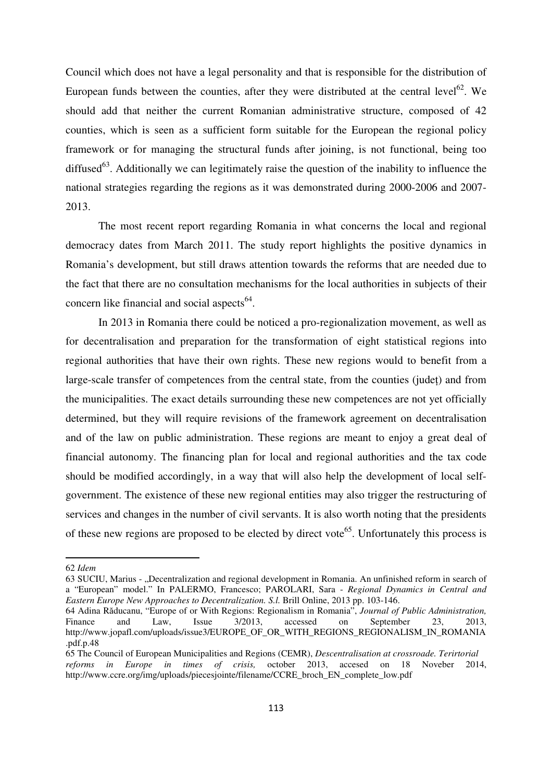Council which does not have a legal personality and that is responsible for the distribution of European funds between the counties, after they were distributed at the central level<sup>62</sup>. We should add that neither the current Romanian administrative structure, composed of 42 counties, which is seen as a sufficient form suitable for the European the regional policy framework or for managing the structural funds after joining, is not functional, being too diffused<sup>63</sup>. Additionally we can legitimately raise the question of the inability to influence the national strategies regarding the regions as it was demonstrated during 2000-2006 and 2007- 2013.

The most recent report regarding Romania in what concerns the local and regional democracy dates from March 2011. The study report highlights the positive dynamics in Romania's development, but still draws attention towards the reforms that are needed due to the fact that there are no consultation mechanisms for the local authorities in subjects of their concern like financial and social aspects $64$ .

In 2013 in Romania there could be noticed a pro-regionalization movement, as well as for decentralisation and preparation for the transformation of eight statistical regions into regional authorities that have their own rights. These new regions would to benefit from a large-scale transfer of competences from the central state, from the counties (județ) and from the municipalities. The exact details surrounding these new competences are not yet officially determined, but they will require revisions of the framework agreement on decentralisation and of the law on public administration. These regions are meant to enjoy a great deal of financial autonomy. The financing plan for local and regional authorities and the tax code should be modified accordingly, in a way that will also help the development of local selfgovernment. The existence of these new regional entities may also trigger the restructuring of services and changes in the number of civil servants. It is also worth noting that the presidents of these new regions are proposed to be elected by direct vote<sup>65</sup>. Unfortunately this process is

<sup>62</sup> *Idem* 

<sup>63</sup> SUCIU, Marius - "Decentralization and regional development in Romania. An unfinished reform in search of a "European" model." In PALERMO, Francesco; PAROLARI, Sara - *Regional Dynamics in Central and Eastern Europe New Approaches to Decentralization. S.l.* Brill Online, 2013 pp. 103-146.

<sup>64</sup> Adina Răducanu, "Europe of or With Regions: Regionalism in Romania", *Journal of Public Administration,*  Finance and Law, Issue 3/2013, accessed on September 23, 2013, http://www.jopafl.com/uploads/issue3/EUROPE\_OF\_OR\_WITH\_REGIONS\_REGIONALISM\_IN\_ROMANIA .pdf.p.48

<sup>65</sup> The Council of European Municipalities and Regions (CEMR), *Descentralisation at crossroade. Terirtorial reforms in Europe in times of crisis,* october 2013, accesed on 18 Noveber 2014, http://www.ccre.org/img/uploads/piecesjointe/filename/CCRE\_broch\_EN\_complete\_low.pdf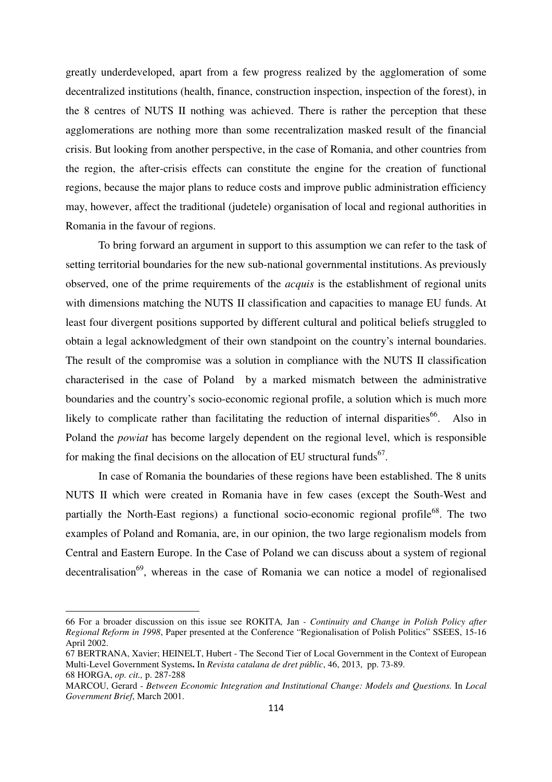greatly underdeveloped, apart from a few progress realized by the agglomeration of some decentralized institutions (health, finance, construction inspection, inspection of the forest), in the 8 centres of NUTS II nothing was achieved. There is rather the perception that these agglomerations are nothing more than some recentralization masked result of the financial crisis. But looking from another perspective, in the case of Romania, and other countries from the region, the after-crisis effects can constitute the engine for the creation of functional regions, because the major plans to reduce costs and improve public administration efficiency may, however, affect the traditional (judetele) organisation of local and regional authorities in Romania in the favour of regions.

To bring forward an argument in support to this assumption we can refer to the task of setting territorial boundaries for the new sub-national governmental institutions. As previously observed, one of the prime requirements of the *acquis* is the establishment of regional units with dimensions matching the NUTS II classification and capacities to manage EU funds. At least four divergent positions supported by different cultural and political beliefs struggled to obtain a legal acknowledgment of their own standpoint on the country's internal boundaries. The result of the compromise was a solution in compliance with the NUTS II classification characterised in the case of Poland by a marked mismatch between the administrative boundaries and the country's socio-economic regional profile, a solution which is much more likely to complicate rather than facilitating the reduction of internal disparities<sup>66</sup>. Also in Poland the *powiat* has become largely dependent on the regional level, which is responsible for making the final decisions on the allocation of EU structural funds<sup>67</sup>.

In case of Romania the boundaries of these regions have been established. The 8 units NUTS II which were created in Romania have in few cases (except the South-West and partially the North-East regions) a functional socio-economic regional profile<sup>68</sup>. The two examples of Poland and Romania, are, in our opinion, the two large regionalism models from Central and Eastern Europe. In the Case of Poland we can discuss about a system of regional decentralisation<sup>69</sup>, whereas in the case of Romania we can notice a model of regionalised

<sup>66</sup> For a broader discussion on this issue see ROKITA*,* Jan *- Continuity and Change in Polish Policy after Regional Reform in 1998*, Paper presented at the Conference "Regionalisation of Polish Politics" SSEES, 15-16 April 2002.

<sup>67</sup> BERTRANA, Xavier; HEINELT, Hubert - The Second Tier of Local Government in the Context of European Multi-Level Government Systems**.** In *Revista catalana de dret públic*, 46, 2013, pp. 73-89. 68 HORGA, *op. cit.,* p. 287-288

MARCOU, Gerard - *Between Economic Integration and Institutional Change: Models and Questions.* In *Local Government Brief*, March 2001.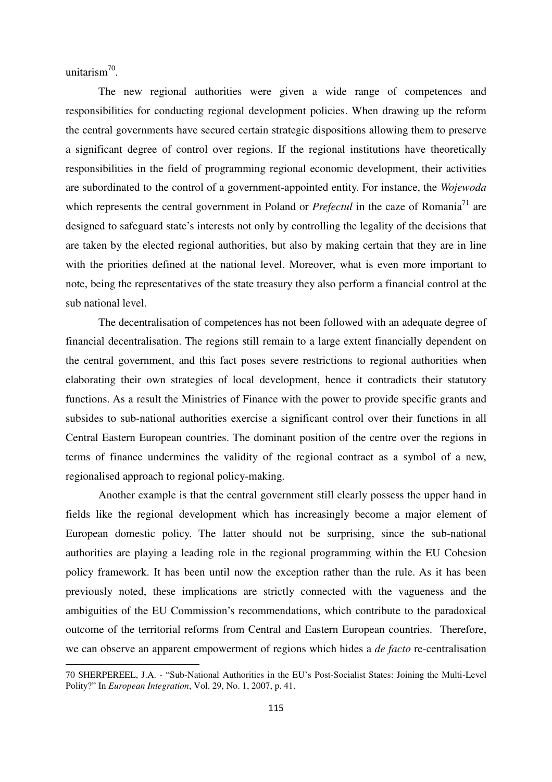unitarism<sup>70</sup>.

 $\overline{a}$ 

The new regional authorities were given a wide range of competences and responsibilities for conducting regional development policies. When drawing up the reform the central governments have secured certain strategic dispositions allowing them to preserve a significant degree of control over regions. If the regional institutions have theoretically responsibilities in the field of programming regional economic development, their activities are subordinated to the control of a government-appointed entity. For instance, the *Wojewoda* which represents the central government in Poland or  $Prefectul$  in the caze of Romania<sup>71</sup> are designed to safeguard state's interests not only by controlling the legality of the decisions that are taken by the elected regional authorities, but also by making certain that they are in line with the priorities defined at the national level. Moreover, what is even more important to note, being the representatives of the state treasury they also perform a financial control at the sub national level.

 The decentralisation of competences has not been followed with an adequate degree of financial decentralisation. The regions still remain to a large extent financially dependent on the central government, and this fact poses severe restrictions to regional authorities when elaborating their own strategies of local development, hence it contradicts their statutory functions. As a result the Ministries of Finance with the power to provide specific grants and subsides to sub-national authorities exercise a significant control over their functions in all Central Eastern European countries. The dominant position of the centre over the regions in terms of finance undermines the validity of the regional contract as a symbol of a new, regionalised approach to regional policy-making.

 Another example is that the central government still clearly possess the upper hand in fields like the regional development which has increasingly become a major element of European domestic policy. The latter should not be surprising, since the sub-national authorities are playing a leading role in the regional programming within the EU Cohesion policy framework. It has been until now the exception rather than the rule. As it has been previously noted, these implications are strictly connected with the vagueness and the ambiguities of the EU Commission's recommendations, which contribute to the paradoxical outcome of the territorial reforms from Central and Eastern European countries. Therefore, we can observe an apparent empowerment of regions which hides a *de facto* re-centralisation

<sup>70</sup> SHERPEREEL, J.A. - "Sub-National Authorities in the EU's Post-Socialist States: Joining the Multi-Level Polity?" In *European Integration*, Vol. 29, No. 1, 2007, p. 41.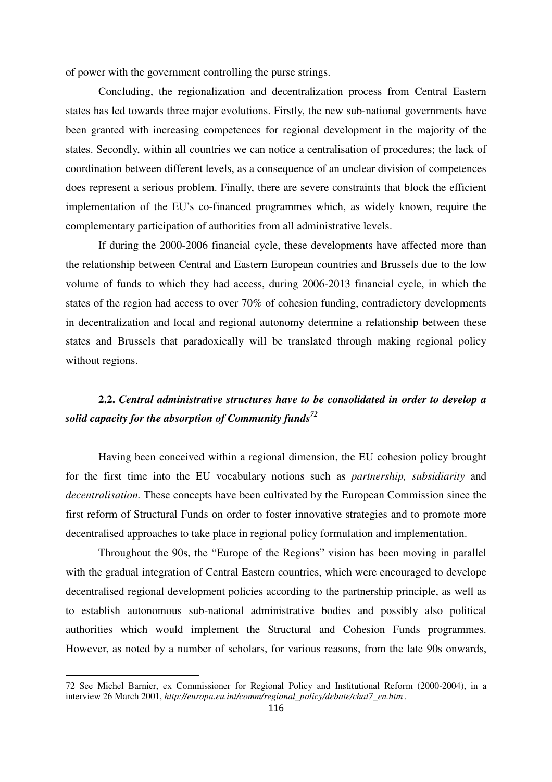of power with the government controlling the purse strings.

 Concluding, the regionalization and decentralization process from Central Eastern states has led towards three major evolutions. Firstly, the new sub-national governments have been granted with increasing competences for regional development in the majority of the states. Secondly, within all countries we can notice a centralisation of procedures; the lack of coordination between different levels, as a consequence of an unclear division of competences does represent a serious problem. Finally, there are severe constraints that block the efficient implementation of the EU's co-financed programmes which, as widely known, require the complementary participation of authorities from all administrative levels.

If during the 2000-2006 financial cycle, these developments have affected more than the relationship between Central and Eastern European countries and Brussels due to the low volume of funds to which they had access, during 2006-2013 financial cycle, in which the states of the region had access to over 70% of cohesion funding, contradictory developments in decentralization and local and regional autonomy determine a relationship between these states and Brussels that paradoxically will be translated through making regional policy without regions.

## **2.2.** *Central administrative structures have to be consolidated in order to develop a solid capacity for the absorption of Community funds 72*

Having been conceived within a regional dimension, the EU cohesion policy brought for the first time into the EU vocabulary notions such as *partnership, subsidiarity* and *decentralisation.* These concepts have been cultivated by the European Commission since the first reform of Structural Funds on order to foster innovative strategies and to promote more decentralised approaches to take place in regional policy formulation and implementation.

 Throughout the 90s, the "Europe of the Regions" vision has been moving in parallel with the gradual integration of Central Eastern countries, which were encouraged to develope decentralised regional development policies according to the partnership principle, as well as to establish autonomous sub-national administrative bodies and possibly also political authorities which would implement the Structural and Cohesion Funds programmes. However, as noted by a number of scholars, for various reasons, from the late 90s onwards,

<sup>72</sup> See Michel Barnier, ex Commissioner for Regional Policy and Institutional Reform (2000-2004), in a interview 26 March 2001, *http://europa.eu.int/comm/regional\_policy/debate/chat7\_en.htm .*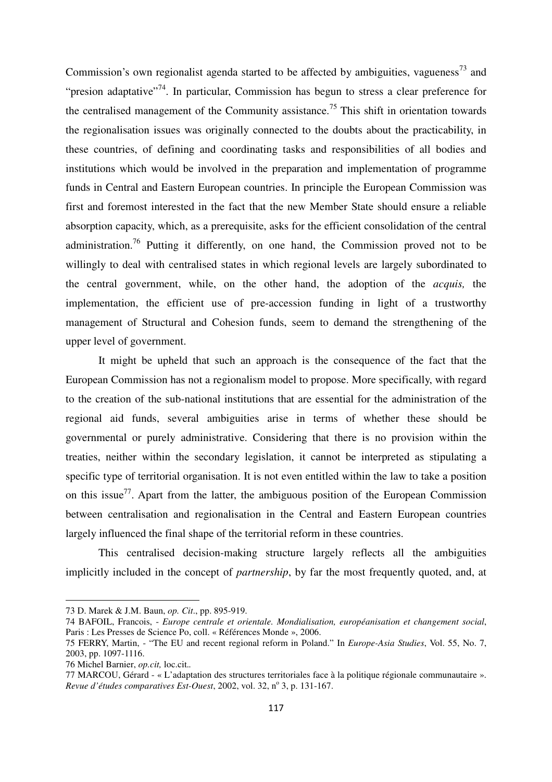Commission's own regionalist agenda started to be affected by ambiguities, vagueness<sup>73</sup> and "presion adaptative"<sup>74</sup>. In particular, Commission has begun to stress a clear preference for the centralised management of the Community assistance.<sup>75</sup> This shift in orientation towards the regionalisation issues was originally connected to the doubts about the practicability, in these countries, of defining and coordinating tasks and responsibilities of all bodies and institutions which would be involved in the preparation and implementation of programme funds in Central and Eastern European countries. In principle the European Commission was first and foremost interested in the fact that the new Member State should ensure a reliable absorption capacity, which, as a prerequisite, asks for the efficient consolidation of the central administration.<sup>76</sup> Putting it differently, on one hand, the Commission proved not to be willingly to deal with centralised states in which regional levels are largely subordinated to the central government, while, on the other hand, the adoption of the *acquis,* the implementation, the efficient use of pre-accession funding in light of a trustworthy management of Structural and Cohesion funds, seem to demand the strengthening of the upper level of government.

 It might be upheld that such an approach is the consequence of the fact that the European Commission has not a regionalism model to propose. More specifically, with regard to the creation of the sub-national institutions that are essential for the administration of the regional aid funds, several ambiguities arise in terms of whether these should be governmental or purely administrative. Considering that there is no provision within the treaties, neither within the secondary legislation, it cannot be interpreted as stipulating a specific type of territorial organisation. It is not even entitled within the law to take a position on this issue<sup>77</sup>. Apart from the latter, the ambiguous position of the European Commission between centralisation and regionalisation in the Central and Eastern European countries largely influenced the final shape of the territorial reform in these countries.

 This centralised decision-making structure largely reflects all the ambiguities implicitly included in the concept of *partnership*, by far the most frequently quoted, and, at

<sup>73</sup> D. Marek & J.M. Baun, *op. Cit*., pp. 895-919.

<sup>74</sup> BAFOIL, Francois, - *Europe centrale et orientale. Mondialisation, européanisation et changement social*, Paris : Les Presses de Science Po, coll. « Références Monde », 2006.

<sup>75</sup> FERRY, Martin, - "The EU and recent regional reform in Poland." In *Europe-Asia Studies*, Vol. 55, No. 7, 2003, pp. 1097-1116.

<sup>76</sup> Michel Barnier, *op.cit,* loc.cit.*.* 

<sup>77</sup> MARCOU, Gérard - « L'adaptation des structures territoriales face à la politique régionale communautaire ». Revue d'études comparatives Est-Ouest, 2002, vol. 32, nº 3, p. 131-167.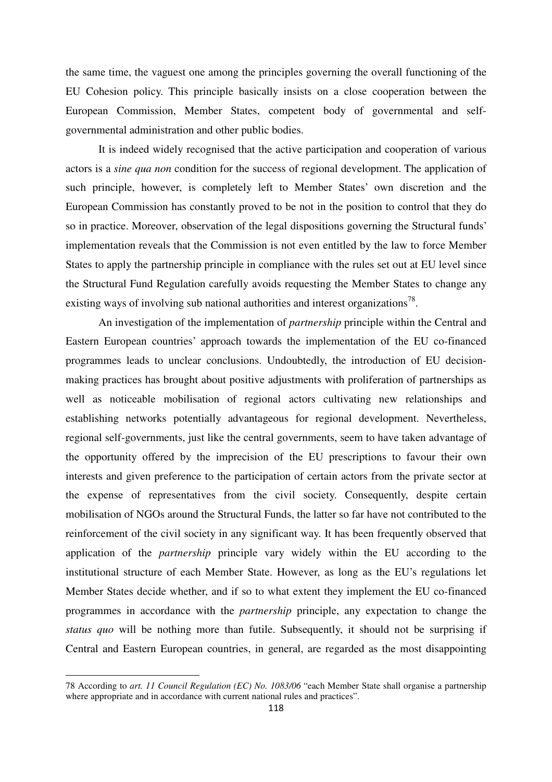the same time, the vaguest one among the principles governing the overall functioning of the EU Cohesion policy. This principle basically insists on a close cooperation between the European Commission, Member States, competent body of governmental and selfgovernmental administration and other public bodies.

 It is indeed widely recognised that the active participation and cooperation of various actors is a *sine qua non* condition for the success of regional development. The application of such principle, however, is completely left to Member States' own discretion and the European Commission has constantly proved to be not in the position to control that they do so in practice. Moreover, observation of the legal dispositions governing the Structural funds' implementation reveals that the Commission is not even entitled by the law to force Member States to apply the partnership principle in compliance with the rules set out at EU level since the Structural Fund Regulation carefully avoids requesting the Member States to change any existing ways of involving sub national authorities and interest organizations<sup>78</sup>.

 An investigation of the implementation of *partnership* principle within the Central and Eastern European countries' approach towards the implementation of the EU co-financed programmes leads to unclear conclusions. Undoubtedly, the introduction of EU decisionmaking practices has brought about positive adjustments with proliferation of partnerships as well as noticeable mobilisation of regional actors cultivating new relationships and establishing networks potentially advantageous for regional development. Nevertheless, regional self-governments, just like the central governments, seem to have taken advantage of the opportunity offered by the imprecision of the EU prescriptions to favour their own interests and given preference to the participation of certain actors from the private sector at the expense of representatives from the civil society. Consequently, despite certain mobilisation of NGOs around the Structural Funds, the latter so far have not contributed to the reinforcement of the civil society in any significant way. It has been frequently observed that application of the *partnership* principle vary widely within the EU according to the institutional structure of each Member State. However, as long as the EU's regulations let Member States decide whether, and if so to what extent they implement the EU co-financed programmes in accordance with the *partnership* principle, any expectation to change the *status quo* will be nothing more than futile. Subsequently, it should not be surprising if Central and Eastern European countries, in general, are regarded as the most disappointing

<sup>78</sup> According to *art. 11 Council Regulation (EC) No. 1083/06* "each Member State shall organise a partnership where appropriate and in accordance with current national rules and practices".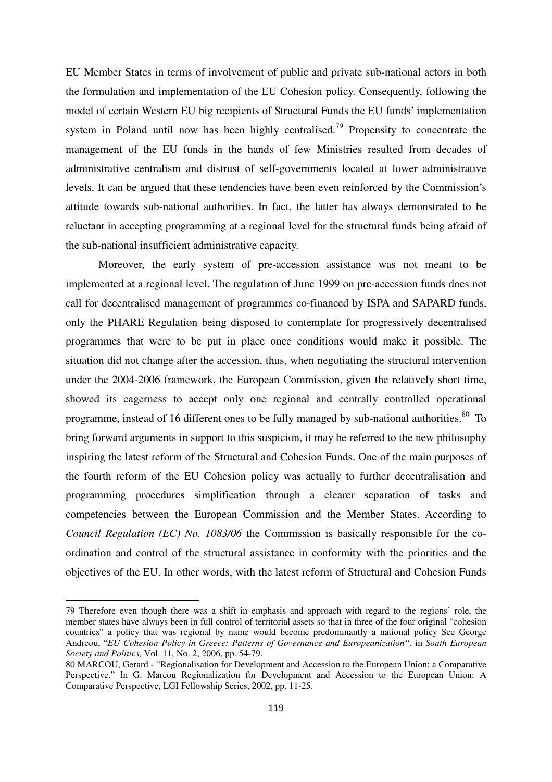EU Member States in terms of involvement of public and private sub-national actors in both the formulation and implementation of the EU Cohesion policy. Consequently, following the model of certain Western EU big recipients of Structural Funds the EU funds' implementation system in Poland until now has been highly centralised.<sup>79</sup> Propensity to concentrate the management of the EU funds in the hands of few Ministries resulted from decades of administrative centralism and distrust of self-governments located at lower administrative levels. It can be argued that these tendencies have been even reinforced by the Commission's attitude towards sub-national authorities. In fact, the latter has always demonstrated to be reluctant in accepting programming at a regional level for the structural funds being afraid of the sub-national insufficient administrative capacity.

 Moreover, the early system of pre-accession assistance was not meant to be implemented at a regional level. The regulation of June 1999 on pre-accession funds does not call for decentralised management of programmes co-financed by ISPA and SAPARD funds, only the PHARE Regulation being disposed to contemplate for progressively decentralised programmes that were to be put in place once conditions would make it possible. The situation did not change after the accession, thus, when negotiating the structural intervention under the 2004-2006 framework, the European Commission, given the relatively short time, showed its eagerness to accept only one regional and centrally controlled operational programme, instead of 16 different ones to be fully managed by sub-national authorities. $80\degree$  To bring forward arguments in support to this suspicion, it may be referred to the new philosophy inspiring the latest reform of the Structural and Cohesion Funds. One of the main purposes of the fourth reform of the EU Cohesion policy was actually to further decentralisation and programming procedures simplification through a clearer separation of tasks and competencies between the European Commission and the Member States. According to *Council Regulation (EC) No. 1083/06* the Commission is basically responsible for the coordination and control of the structural assistance in conformity with the priorities and the objectives of the EU. In other words, with the latest reform of Structural and Cohesion Funds

<sup>79</sup> Therefore even though there was a shift in emphasis and approach with regard to the regions' role, the member states have always been in full control of territorial assets so that in three of the four original "cohesion countries" a policy that was regional by name would become predominantly a national policy See George Andreou, "*EU Cohesion Policy in Greece: Patterns of Governance and Europeanization*", in *South European Society and Politics,* Vol. 11, No. 2, 2006, pp. 54-79.

<sup>80</sup> MARCOU, Gerard - "Regionalisation for Development and Accession to the European Union: a Comparative Perspective." In G. Marcou Regionalization for Development and Accession to the European Union: A Comparative Perspective, LGI Fellowship Series, 2002, pp. 11-25.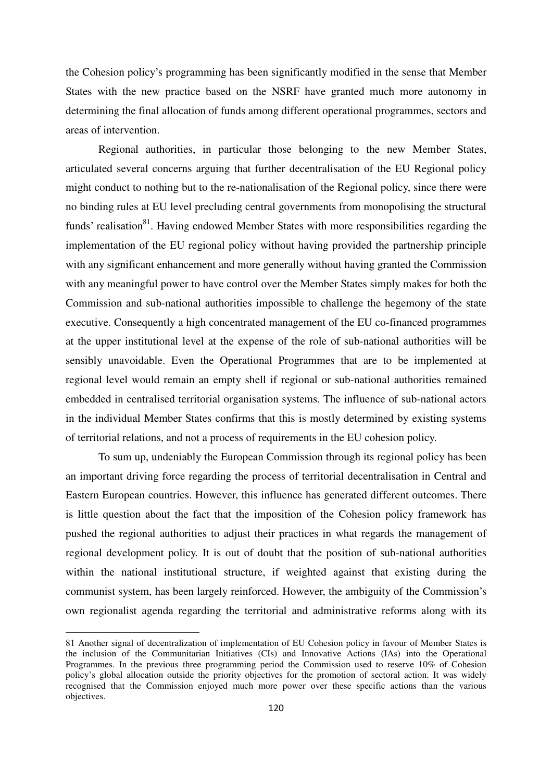the Cohesion policy's programming has been significantly modified in the sense that Member States with the new practice based on the NSRF have granted much more autonomy in determining the final allocation of funds among different operational programmes, sectors and areas of intervention.

 Regional authorities, in particular those belonging to the new Member States, articulated several concerns arguing that further decentralisation of the EU Regional policy might conduct to nothing but to the re-nationalisation of the Regional policy, since there were no binding rules at EU level precluding central governments from monopolising the structural funds' realisation<sup>81</sup>. Having endowed Member States with more responsibilities regarding the implementation of the EU regional policy without having provided the partnership principle with any significant enhancement and more generally without having granted the Commission with any meaningful power to have control over the Member States simply makes for both the Commission and sub-national authorities impossible to challenge the hegemony of the state executive. Consequently a high concentrated management of the EU co-financed programmes at the upper institutional level at the expense of the role of sub-national authorities will be sensibly unavoidable. Even the Operational Programmes that are to be implemented at regional level would remain an empty shell if regional or sub-national authorities remained embedded in centralised territorial organisation systems. The influence of sub-national actors in the individual Member States confirms that this is mostly determined by existing systems of territorial relations, and not a process of requirements in the EU cohesion policy.

 To sum up, undeniably the European Commission through its regional policy has been an important driving force regarding the process of territorial decentralisation in Central and Eastern European countries. However, this influence has generated different outcomes. There is little question about the fact that the imposition of the Cohesion policy framework has pushed the regional authorities to adjust their practices in what regards the management of regional development policy. It is out of doubt that the position of sub-national authorities within the national institutional structure, if weighted against that existing during the communist system, has been largely reinforced. However, the ambiguity of the Commission's own regionalist agenda regarding the territorial and administrative reforms along with its

<sup>81</sup> Another signal of decentralization of implementation of EU Cohesion policy in favour of Member States is the inclusion of the Communitarian Initiatives (CIs) and Innovative Actions (IAs) into the Operational Programmes. In the previous three programming period the Commission used to reserve 10% of Cohesion policy's global allocation outside the priority objectives for the promotion of sectoral action. It was widely recognised that the Commission enjoyed much more power over these specific actions than the various objectives.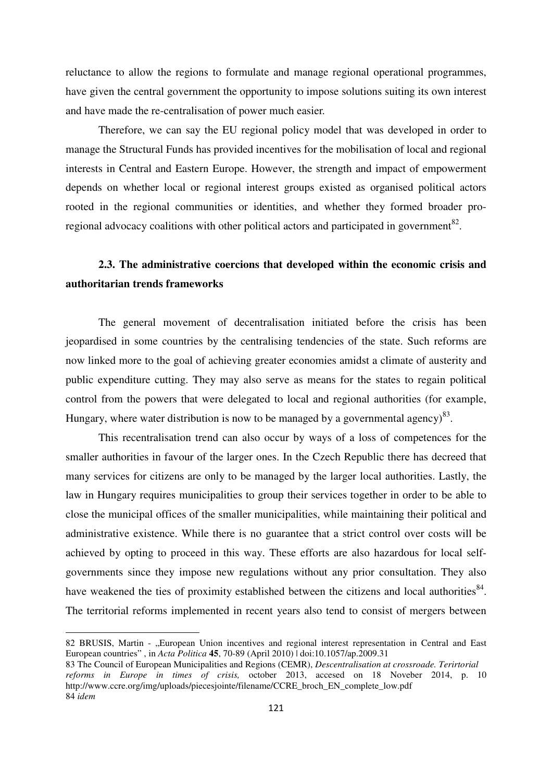reluctance to allow the regions to formulate and manage regional operational programmes, have given the central government the opportunity to impose solutions suiting its own interest and have made the re-centralisation of power much easier.

Therefore, we can say the EU regional policy model that was developed in order to manage the Structural Funds has provided incentives for the mobilisation of local and regional interests in Central and Eastern Europe. However, the strength and impact of empowerment depends on whether local or regional interest groups existed as organised political actors rooted in the regional communities or identities, and whether they formed broader proregional advocacy coalitions with other political actors and participated in government<sup>82</sup>.

## **2.3. The administrative coercions that developed within the economic crisis and authoritarian trends frameworks**

The general movement of decentralisation initiated before the crisis has been jeopardised in some countries by the centralising tendencies of the state. Such reforms are now linked more to the goal of achieving greater economies amidst a climate of austerity and public expenditure cutting. They may also serve as means for the states to regain political control from the powers that were delegated to local and regional authorities (for example, Hungary, where water distribution is now to be managed by a governmental agency)<sup>83</sup>.

This recentralisation trend can also occur by ways of a loss of competences for the smaller authorities in favour of the larger ones. In the Czech Republic there has decreed that many services for citizens are only to be managed by the larger local authorities. Lastly, the law in Hungary requires municipalities to group their services together in order to be able to close the municipal offices of the smaller municipalities, while maintaining their political and administrative existence. While there is no guarantee that a strict control over costs will be achieved by opting to proceed in this way. These efforts are also hazardous for local selfgovernments since they impose new regulations without any prior consultation. They also have weakened the ties of proximity established between the citizens and local authorities  $84$ . The territorial reforms implemented in recent years also tend to consist of mergers between

82 BRUSIS, Martin - "European Union incentives and regional interest representation in Central and East European countries" , in *Acta Politica* **45**, 70-89 (April 2010) | doi:10.1057/ap.2009.31

<sup>83</sup> The Council of European Municipalities and Regions (CEMR), *Descentralisation at crossroade. Terirtorial reforms in Europe in times of crisis,* october 2013, accesed on 18 Noveber 2014, p. 10 http://www.ccre.org/img/uploads/piecesjointe/filename/CCRE\_broch\_EN\_complete\_low.pdf 84 *idem*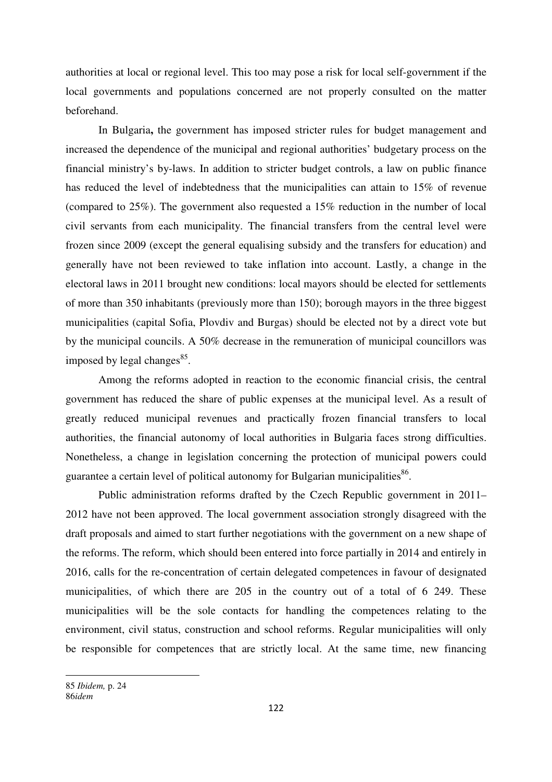authorities at local or regional level. This too may pose a risk for local self-government if the local governments and populations concerned are not properly consulted on the matter beforehand.

In Bulgaria**,** the government has imposed stricter rules for budget management and increased the dependence of the municipal and regional authorities' budgetary process on the financial ministry's by-laws. In addition to stricter budget controls, a law on public finance has reduced the level of indebtedness that the municipalities can attain to 15% of revenue (compared to 25%). The government also requested a 15% reduction in the number of local civil servants from each municipality. The financial transfers from the central level were frozen since 2009 (except the general equalising subsidy and the transfers for education) and generally have not been reviewed to take inflation into account. Lastly, a change in the electoral laws in 2011 brought new conditions: local mayors should be elected for settlements of more than 350 inhabitants (previously more than 150); borough mayors in the three biggest municipalities (capital Sofia, Plovdiv and Burgas) should be elected not by a direct vote but by the municipal councils. A 50% decrease in the remuneration of municipal councillors was imposed by legal changes<sup>85</sup>.

Among the reforms adopted in reaction to the economic financial crisis, the central government has reduced the share of public expenses at the municipal level. As a result of greatly reduced municipal revenues and practically frozen financial transfers to local authorities, the financial autonomy of local authorities in Bulgaria faces strong difficulties. Nonetheless, a change in legislation concerning the protection of municipal powers could guarantee a certain level of political autonomy for Bulgarian municipalities $^{86}$ .

Public administration reforms drafted by the Czech Republic government in 2011– 2012 have not been approved. The local government association strongly disagreed with the draft proposals and aimed to start further negotiations with the government on a new shape of the reforms. The reform, which should been entered into force partially in 2014 and entirely in 2016, calls for the re-concentration of certain delegated competences in favour of designated municipalities, of which there are 205 in the country out of a total of 6 249. These municipalities will be the sole contacts for handling the competences relating to the environment, civil status, construction and school reforms. Regular municipalities will only be responsible for competences that are strictly local. At the same time, new financing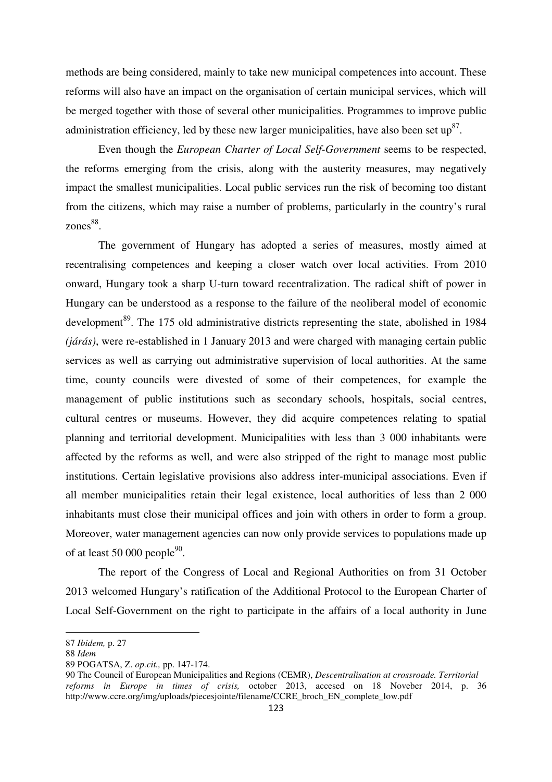methods are being considered, mainly to take new municipal competences into account. These reforms will also have an impact on the organisation of certain municipal services, which will be merged together with those of several other municipalities. Programmes to improve public administration efficiency, led by these new larger municipalities, have also been set  $up^{87}$ .

Even though the *European Charter of Local Self-Government* seems to be respected, the reforms emerging from the crisis, along with the austerity measures, may negatively impact the smallest municipalities. Local public services run the risk of becoming too distant from the citizens, which may raise a number of problems, particularly in the country's rural zones<sup>88</sup>.

 The government of Hungary has adopted a series of measures, mostly aimed at recentralising competences and keeping a closer watch over local activities. From 2010 onward, Hungary took a sharp U-turn toward recentralization. The radical shift of power in Hungary can be understood as a response to the failure of the neoliberal model of economic development<sup>89</sup>. The 175 old administrative districts representing the state, abolished in 1984 *(járás)*, were re-established in 1 January 2013 and were charged with managing certain public services as well as carrying out administrative supervision of local authorities. At the same time, county councils were divested of some of their competences, for example the management of public institutions such as secondary schools, hospitals, social centres, cultural centres or museums. However, they did acquire competences relating to spatial planning and territorial development. Municipalities with less than 3 000 inhabitants were affected by the reforms as well, and were also stripped of the right to manage most public institutions. Certain legislative provisions also address inter-municipal associations. Even if all member municipalities retain their legal existence, local authorities of less than 2 000 inhabitants must close their municipal offices and join with others in order to form a group. Moreover, water management agencies can now only provide services to populations made up of at least 50 000 people $90$ .

 The report of the Congress of Local and Regional Authorities on from 31 October 2013 welcomed Hungary's ratification of the Additional Protocol to the European Charter of Local Self-Government on the right to participate in the affairs of a local authority in June

<sup>87</sup> *Ibidem,* p. 27

<sup>88</sup> *Idem* 

<sup>89</sup> POGATSA, Z. *op.cit.,* pp. 147-174.

<sup>90</sup> The Council of European Municipalities and Regions (CEMR), *Descentralisation at crossroade. Territorial reforms in Europe in times of crisis,* october 2013, accesed on 18 Noveber 2014, p. 36 http://www.ccre.org/img/uploads/piecesjointe/filename/CCRE\_broch\_EN\_complete\_low.pdf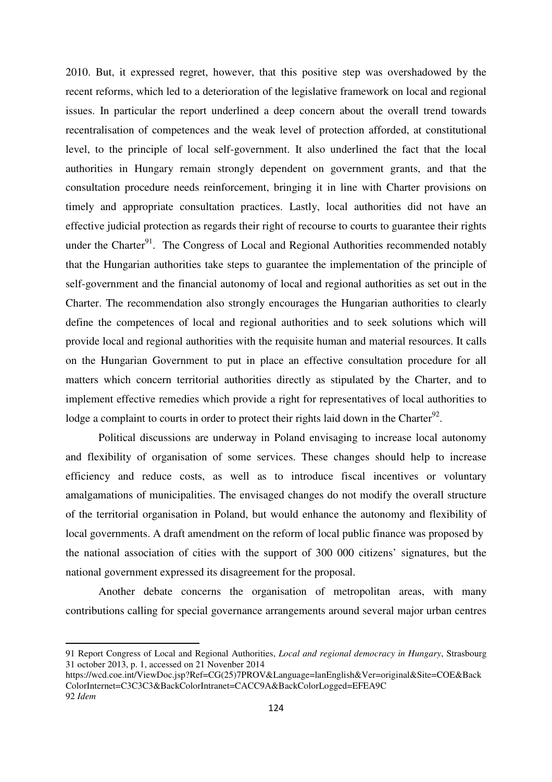2010. But, it expressed regret, however, that this positive step was overshadowed by the recent reforms, which led to a deterioration of the legislative framework on local and regional issues. In particular the report underlined a deep concern about the overall trend towards recentralisation of competences and the weak level of protection afforded, at constitutional level, to the principle of local self-government. It also underlined the fact that the local authorities in Hungary remain strongly dependent on government grants, and that the consultation procedure needs reinforcement, bringing it in line with Charter provisions on timely and appropriate consultation practices. Lastly, local authorities did not have an effective judicial protection as regards their right of recourse to courts to guarantee their rights under the Charter<sup>91</sup>. The Congress of Local and Regional Authorities recommended notably that the Hungarian authorities take steps to guarantee the implementation of the principle of self-government and the financial autonomy of local and regional authorities as set out in the Charter. The recommendation also strongly encourages the Hungarian authorities to clearly define the competences of local and regional authorities and to seek solutions which will provide local and regional authorities with the requisite human and material resources. It calls on the Hungarian Government to put in place an effective consultation procedure for all matters which concern territorial authorities directly as stipulated by the Charter, and to implement effective remedies which provide a right for representatives of local authorities to lodge a complaint to courts in order to protect their rights laid down in the Charter<sup>92</sup>.

Political discussions are underway in Poland envisaging to increase local autonomy and flexibility of organisation of some services. These changes should help to increase efficiency and reduce costs, as well as to introduce fiscal incentives or voluntary amalgamations of municipalities. The envisaged changes do not modify the overall structure of the territorial organisation in Poland, but would enhance the autonomy and flexibility of local governments. A draft amendment on the reform of local public finance was proposed by the national association of cities with the support of 300 000 citizens' signatures, but the national government expressed its disagreement for the proposal.

Another debate concerns the organisation of metropolitan areas, with many contributions calling for special governance arrangements around several major urban centres

<sup>91</sup> Report Congress of Local and Regional Authorities, *Local and regional democracy in Hungary*, Strasbourg 31 october 2013, p. 1, accessed on 21 Novenber 2014

https://wcd.coe.int/ViewDoc.jsp?Ref=CG(25)7PROV&Language=lanEnglish&Ver=original&Site=COE&Back ColorInternet=C3C3C3&BackColorIntranet=CACC9A&BackColorLogged=EFEA9C 92 *Idem*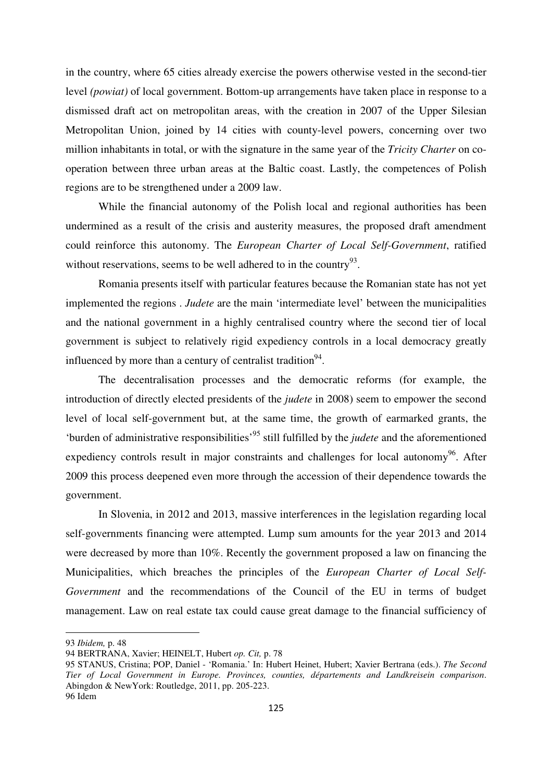in the country, where 65 cities already exercise the powers otherwise vested in the second-tier level *(powiat)* of local government. Bottom-up arrangements have taken place in response to a dismissed draft act on metropolitan areas, with the creation in 2007 of the Upper Silesian Metropolitan Union, joined by 14 cities with county-level powers, concerning over two million inhabitants in total, or with the signature in the same year of the *Tricity Charter* on cooperation between three urban areas at the Baltic coast. Lastly, the competences of Polish regions are to be strengthened under a 2009 law.

While the financial autonomy of the Polish local and regional authorities has been undermined as a result of the crisis and austerity measures, the proposed draft amendment could reinforce this autonomy. The *European Charter of Local Self-Government*, ratified without reservations, seems to be well adhered to in the country<sup>93</sup>.

Romania presents itself with particular features because the Romanian state has not yet implemented the regions . *Judete* are the main 'intermediate level' between the municipalities and the national government in a highly centralised country where the second tier of local government is subject to relatively rigid expediency controls in a local democracy greatly influenced by more than a century of centralist tradition<sup>94</sup>.

The decentralisation processes and the democratic reforms (for example, the introduction of directly elected presidents of the *judete* in 2008) seem to empower the second level of local self-government but, at the same time, the growth of earmarked grants, the 'burden of administrative responsibilities'<sup>95</sup> still fulfilled by the *judete* and the aforementioned expediency controls result in major constraints and challenges for local autonomy<sup>96</sup>. After 2009 this process deepened even more through the accession of their dependence towards the government.

In Slovenia, in 2012 and 2013, massive interferences in the legislation regarding local self-governments financing were attempted. Lump sum amounts for the year 2013 and 2014 were decreased by more than 10%. Recently the government proposed a law on financing the Municipalities, which breaches the principles of the *European Charter of Local Self-Government* and the recommendations of the Council of the EU in terms of budget management. Law on real estate tax could cause great damage to the financial sufficiency of

<sup>93</sup> *Ibidem,* p. 48

<sup>94</sup> BERTRANA, Xavier; HEINELT, Hubert *op. Cit,* p. 78

<sup>95</sup> STANUS, Cristina; POP, Daniel - 'Romania.' In: Hubert Heinet, Hubert; Xavier Bertrana (eds.). *The Second Tier of Local Government in Europe. Provinces, counties, départements and Landkreisein comparison*. Abingdon & NewYork: Routledge, 2011, pp. 205-223. 96 Idem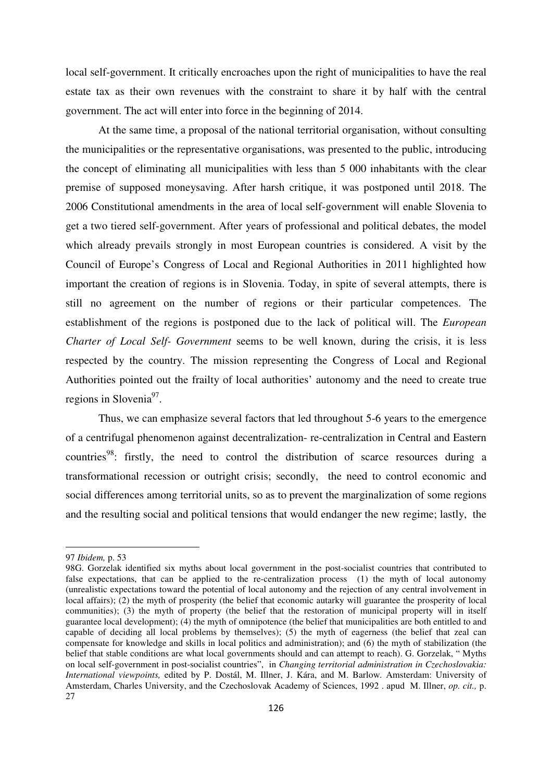local self-government. It critically encroaches upon the right of municipalities to have the real estate tax as their own revenues with the constraint to share it by half with the central government. The act will enter into force in the beginning of 2014.

At the same time, a proposal of the national territorial organisation, without consulting the municipalities or the representative organisations, was presented to the public, introducing the concept of eliminating all municipalities with less than 5 000 inhabitants with the clear premise of supposed moneysaving. After harsh critique, it was postponed until 2018. The 2006 Constitutional amendments in the area of local self-government will enable Slovenia to get a two tiered self-government. After years of professional and political debates, the model which already prevails strongly in most European countries is considered. A visit by the Council of Europe's Congress of Local and Regional Authorities in 2011 highlighted how important the creation of regions is in Slovenia. Today, in spite of several attempts, there is still no agreement on the number of regions or their particular competences. The establishment of the regions is postponed due to the lack of political will. The *European Charter of Local Self- Government* seems to be well known, during the crisis, it is less respected by the country. The mission representing the Congress of Local and Regional Authorities pointed out the frailty of local authorities' autonomy and the need to create true regions in Slovenia<sup>97</sup>.

Thus, we can emphasize several factors that led throughout 5-6 years to the emergence of a centrifugal phenomenon against decentralization- re-centralization in Central and Eastern countries<sup>98</sup>: firstly, the need to control the distribution of scarce resources during a transformational recession or outright crisis; secondly, the need to control economic and social differences among territorial units, so as to prevent the marginalization of some regions and the resulting social and political tensions that would endanger the new regime; lastly, the

<sup>97</sup> *Ibidem,* p. 53

<sup>98</sup>G. Gorzelak identified six myths about local government in the post-socialist countries that contributed to false expectations, that can be applied to the re-centralization process (1) the myth of local autonomy (unrealistic expectations toward the potential of local autonomy and the rejection of any central involvement in local affairs); (2) the myth of prosperity (the belief that economic autarky will guarantee the prosperity of local communities); (3) the myth of property (the belief that the restoration of municipal property will in itself guarantee local development); (4) the myth of omnipotence (the belief that municipalities are both entitled to and capable of deciding all local problems by themselves); (5) the myth of eagerness (the belief that zeal can compensate for knowledge and skills in local politics and administration); and (6) the myth of stabilization (the belief that stable conditions are what local governments should and can attempt to reach). G. Gorzelak, " Myths on local self-government in post-socialist countries", in *Changing territorial administration in Czechoslovakia: International viewpoints,* edited by P. Dostál, M. Illner, J. Kára, and M. Barlow. Amsterdam: University of Amsterdam, Charles University, and the Czechoslovak Academy of Sciences, 1992 . apud M. Illner, *op. cit.,* p.  $27$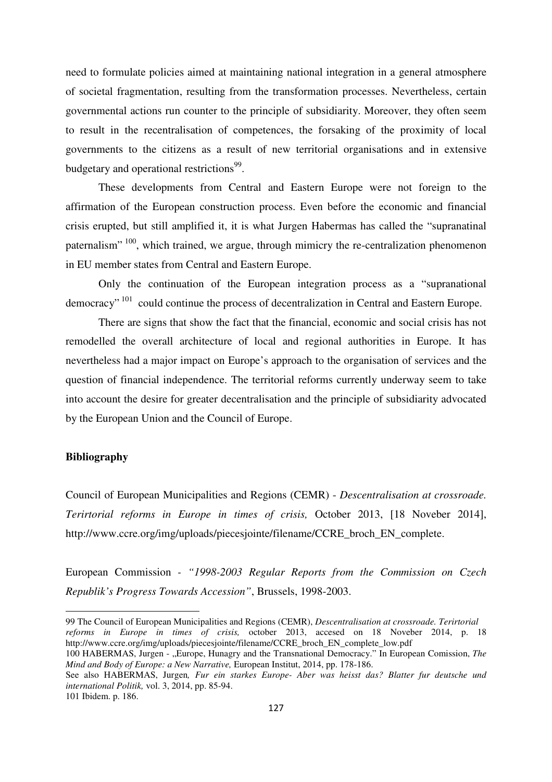need to formulate policies aimed at maintaining national integration in a general atmosphere of societal fragmentation, resulting from the transformation processes. Nevertheless, certain governmental actions run counter to the principle of subsidiarity. Moreover, they often seem to result in the recentralisation of competences, the forsaking of the proximity of local governments to the citizens as a result of new territorial organisations and in extensive budgetary and operational restrictions<sup>99</sup>.

These developments from Central and Eastern Europe were not foreign to the affirmation of the European construction process. Even before the economic and financial crisis erupted, but still amplified it, it is what Jurgen Habermas has called the "supranatinal paternalism" <sup>100</sup>, which trained, we argue, through mimicry the re-centralization phenomenon in EU member states from Central and Eastern Europe.

Only the continuation of the European integration process as a "supranational democracy" <sup>101</sup> could continue the process of decentralization in Central and Eastern Europe.

There are signs that show the fact that the financial, economic and social crisis has not remodelled the overall architecture of local and regional authorities in Europe. It has nevertheless had a major impact on Europe's approach to the organisation of services and the question of financial independence. The territorial reforms currently underway seem to take into account the desire for greater decentralisation and the principle of subsidiarity advocated by the European Union and the Council of Europe.

#### **Bibliography**

Council of European Municipalities and Regions (CEMR) - *Descentralisation at crossroade. Terirtorial reforms in Europe in times of crisis,* October 2013, [18 Noveber 2014], http://www.ccre.org/img/uploads/piecesjointe/filename/CCRE\_broch\_EN\_complete.

European Commission *- "1998-2003 Regular Reports from the Commission on Czech Republik's Progress Towards Accession"*, Brussels, 1998-2003.

<sup>99</sup> The Council of European Municipalities and Regions (CEMR), *Descentralisation at crossroade. Terirtorial reforms in Europe in times of crisis,* october 2013, accesed on 18 Noveber 2014, p. 18 http://www.ccre.org/img/uploads/piecesjointe/filename/CCRE\_broch\_EN\_complete\_low.pdf

<sup>100</sup> HABERMAS, Jurgen - "Europe, Hunagry and the Transnational Democracy." In European Comission, *The Mind and Body of Europe: a New Narrative,* European Institut, 2014, pp. 178-186.

See also HABERMAS, Jurgen*, Fur ein starkes Europe- Aber was heisst das? Blatter fur deutsche und international Politik,* vol. 3, 2014, pp. 85-94.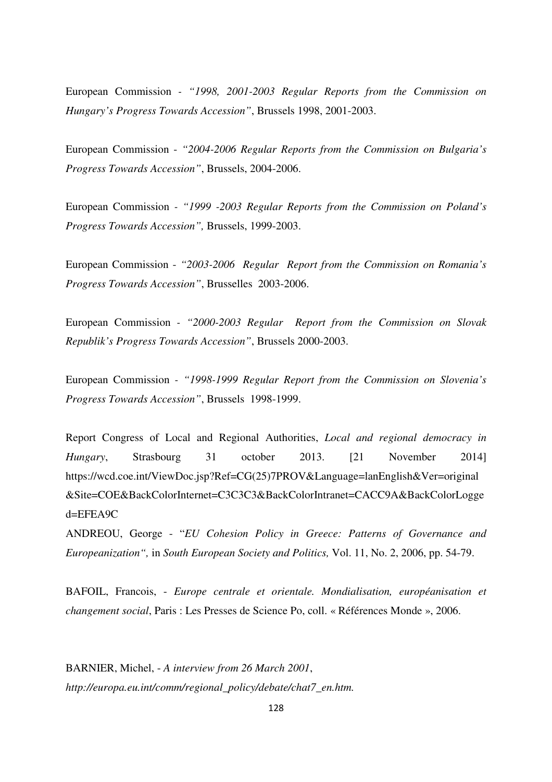European Commission *- "1998, 2001-2003 Regular Reports from the Commission on Hungary's Progress Towards Accession"*, Brussels 1998, 2001-2003.

European Commission - *"2004-2006 Regular Reports from the Commission on Bulgaria's Progress Towards Accession"*, Brussels, 2004-2006.

European Commission *- "1999 -2003 Regular Reports from the Commission on Poland's Progress Towards Accession",* Brussels, 1999-2003.

European Commission - *"2003-2006 Regular Report from the Commission on Romania's Progress Towards Accession"*, Brusselles 2003-2006.

European Commission *- "2000-2003 Regular Report from the Commission on Slovak Republik's Progress Towards Accession"*, Brussels 2000-2003.

European Commission *- "1998-1999 Regular Report from the Commission on Slovenia's Progress Towards Accession"*, Brussels 1998-1999.

Report Congress of Local and Regional Authorities, *Local and regional democracy in Hungary*, Strasbourg 31 october 2013. [21 November 2014] https://wcd.coe.int/ViewDoc.jsp?Ref=CG(25)7PROV&Language=lanEnglish&Ver=original &Site=COE&BackColorInternet=C3C3C3&BackColorIntranet=CACC9A&BackColorLogge  $d=EFEA9C$ 

ANDREOU, George - "*EU Cohesion Policy in Greece: Patterns of Governance and Europeanization",* in *South European Society and Politics,* Vol. 11, No. 2, 2006, pp. 54-79.

BAFOIL, Francois, - *Europe centrale et orientale. Mondialisation, européanisation et changement social*, Paris : Les Presses de Science Po, coll. « Références Monde », 2006.

BARNIER, Michel, - *A interview from 26 March 2001*, *http://europa.eu.int/comm/regional\_policy/debate/chat7\_en.htm.*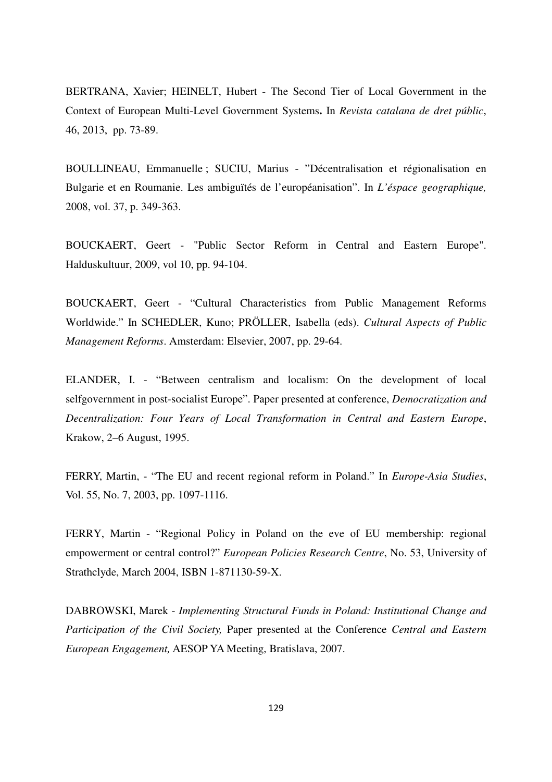BERTRANA, Xavier; HEINELT, Hubert - The Second Tier of Local Government in the Context of European Multi-Level Government Systems**.** In *Revista catalana de dret públic*, 46, 2013, pp. 73-89.

BOULLINEAU, Emmanuelle ; SUCIU, Marius - "Décentralisation et régionalisation en Bulgarie et en Roumanie. Les ambiguïtés de l'européanisation". In *L'éspace geographique,*  2008, vol. 37, p. 349-363.

BOUCKAERT, Geert - "Public Sector Reform in Central and Eastern Europe". Halduskultuur, 2009, vol 10, pp. 94-104.

BOUCKAERT, Geert - "Cultural Characteristics from Public Management Reforms Worldwide." In SCHEDLER, Kuno; PRÖLLER, Isabella (eds). *Cultural Aspects of Public Management Reforms*. Amsterdam: Elsevier, 2007, pp. 29-64.

ELANDER, I. - "Between centralism and localism: On the development of local selfgovernment in post-socialist Europe". Paper presented at conference, *Democratization and Decentralization: Four Years of Local Transformation in Central and Eastern Europe*, Krakow, 2–6 August, 1995.

FERRY, Martin, - "The EU and recent regional reform in Poland." In *Europe-Asia Studies*, Vol. 55, No. 7, 2003, pp. 1097-1116.

FERRY, Martin - "Regional Policy in Poland on the eve of EU membership: regional empowerment or central control?" *European Policies Research Centre*, No. 53, University of Strathclyde, March 2004, ISBN 1-871130-59-X.

DABROWSKI, Marek - *Implementing Structural Funds in Poland: Institutional Change and Participation of the Civil Society,* Paper presented at the Conference *Central and Eastern European Engagement,* AESOP YA Meeting, Bratislava, 2007.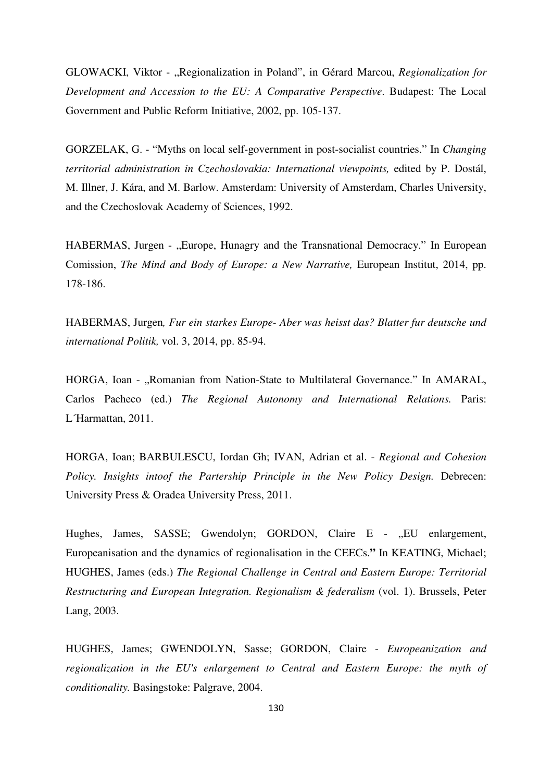GLOWACKI, Viktor - "Regionalization in Poland", in Gérard Marcou, *Regionalization for Development and Accession to the EU: A Comparative Perspective*. Budapest: The Local Government and Public Reform Initiative, 2002, pp. 105-137.

GORZELAK, G. - "Myths on local self-government in post-socialist countries." In *Changing territorial administration in Czechoslovakia: International viewpoints,* edited by P. Dostál, M. Illner, J. Kára, and M. Barlow. Amsterdam: University of Amsterdam, Charles University, and the Czechoslovak Academy of Sciences, 1992.

HABERMAS, Jurgen - "Europe, Hunagry and the Transnational Democracy." In European Comission, *The Mind and Body of Europe: a New Narrative,* European Institut, 2014, pp. 178-186.

HABERMAS, Jurgen*, Fur ein starkes Europe- Aber was heisst das? Blatter fur deutsche und international Politik,* vol. 3, 2014, pp. 85-94.

HORGA, Ioan - "Romanian from Nation-State to Multilateral Governance." In AMARAL, Carlos Pacheco (ed.) *The Regional Autonomy and International Relations.* Paris: L´Harmattan, 2011.

HORGA, Ioan; BARBULESCU, Iordan Gh; IVAN, Adrian et al. - *Regional and Cohesion Policy. Insights intoof the Partership Principle in the New Policy Design. Debrecen:* University Press & Oradea University Press, 2011.

Hughes, James, SASSE; Gwendolyn; GORDON, Claire E - "EU enlargement, Europeanisation and the dynamics of regionalisation in the CEECs.**"** In KEATING, Michael; HUGHES, James (eds.) *The Regional Challenge in Central and Eastern Europe: Territorial Restructuring and European Integration. Regionalism & federalism* (vol. 1). Brussels, Peter Lang, 2003.

HUGHES, James; GWENDOLYN, Sasse; GORDON, Claire - *Europeanization and regionalization in the EU's enlargement to Central and Eastern Europe: the myth of conditionality.* Basingstoke: Palgrave, 2004.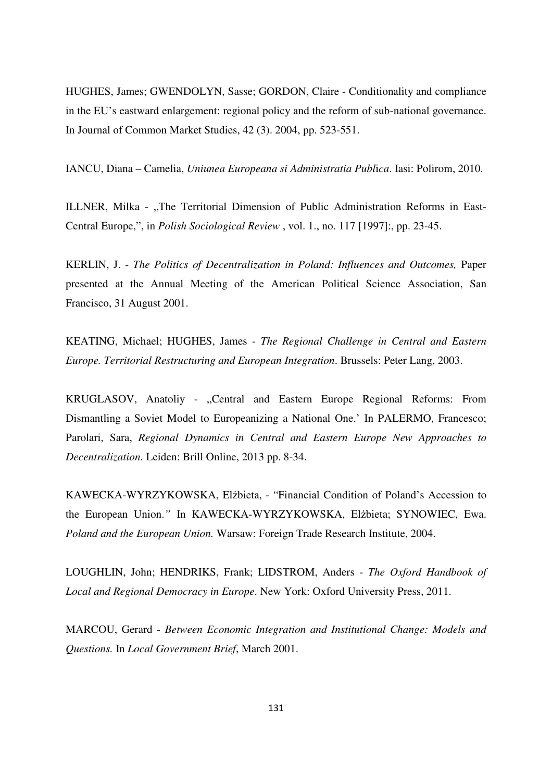HUGHES, James; GWENDOLYN, Sasse; GORDON, Claire - Conditionality and compliance in the EU's eastward enlargement: regional policy and the reform of sub-national governance. In Journal of Common Market Studies, 42 (3). 2004, pp. 523-551.

IANCU, Diana – Camelia, *Uniunea Europeana si Administratia Publ*i*ca*. Iasi: Polirom, 2010.

ILLNER, Milka - "The Territorial Dimension of Public Administration Reforms in East-Central Europe,", in *Polish Sociological Review* , vol. 1., no. 117 [1997]:, pp. 23-45.

KERLIN, J. - *The Politics of Decentralization in Poland: Influences and Outcomes,* Paper presented at the Annual Meeting of the American Political Science Association, San Francisco, 31 August 2001.

KEATING, Michael; HUGHES, James - *The Regional Challenge in Central and Eastern Europe. Territorial Restructuring and European Integration*. Brussels: Peter Lang, 2003.

KRUGLASOV, Anatoliy - "Central and Eastern Europe Regional Reforms: From Dismantling a Soviet Model to Europeanizing a National One.' In PALERMO, Francesco; Parolari, Sara, *Regional Dynamics in Central and Eastern Europe New Approaches to Decentralization.* Leiden: Brill Online, 2013 pp. 8-34.

KAWECKA-WYRZYKOWSKA, Elżbieta, - "Financial Condition of Poland's Accession to the European Union.*"* In KAWECKA-WYRZYKOWSKA, Elżbieta; SYNOWIEC, Ewa. *Poland and the European Union.* Warsaw: Foreign Trade Research Institute, 2004.

LOUGHLIN, John; HENDRIKS, Frank; LIDSTROM, Anders - *The Oxford Handbook of Local and Regional Democracy in Europe*. New York: Oxford University Press, 2011.

MARCOU, Gerard - *Between Economic Integration and Institutional Change: Models and Questions.* In *Local Government Brief*, March 2001.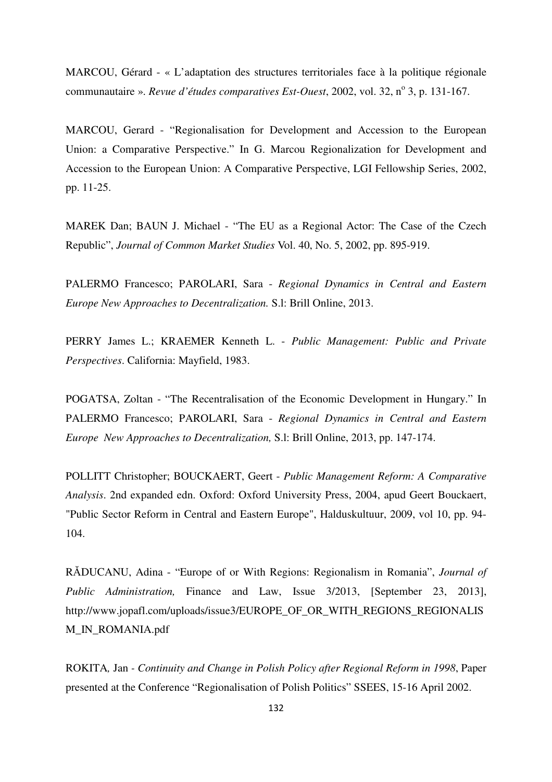MARCOU, Gérard - « L'adaptation des structures territoriales face à la politique régionale communautaire ». *Revue d'études comparatives Est-Ouest*, 2002, vol. 32, n° 3, p. 131-167.

MARCOU, Gerard - "Regionalisation for Development and Accession to the European Union: a Comparative Perspective." In G. Marcou Regionalization for Development and Accession to the European Union: A Comparative Perspective, LGI Fellowship Series, 2002, pp. 11-25.

MAREK Dan; BAUN J. Michael - "The EU as a Regional Actor: The Case of the Czech Republic", *Journal of Common Market Studies* Vol. 40, No. 5, 2002, pp. 895-919.

PALERMO Francesco; PAROLARI, Sara - *Regional Dynamics in Central and Eastern Europe New Approaches to Decentralization.* S.l: Brill Online, 2013.

PERRY James L.; KRAEMER Kenneth L. - *Public Management: Public and Private Perspectives*. California: Mayfield, 1983.

POGATSA, Zoltan - "The Recentralisation of the Economic Development in Hungary." In PALERMO Francesco; PAROLARI, Sara - *Regional Dynamics in Central and Eastern Europe New Approaches to Decentralization,* S.l: Brill Online, 2013, pp. 147-174.

POLLITT Christopher; BOUCKAERT, Geert - *Public Management Reform: A Comparative Analysis*. 2nd expanded edn. Oxford: Oxford University Press, 2004, apud Geert Bouckaert, "Public Sector Reform in Central and Eastern Europe", Halduskultuur, 2009, vol 10, pp. 94- 104.

RĂDUCANU, Adina - "Europe of or With Regions: Regionalism in Romania", *Journal of Public Administration,* Finance and Law, Issue 3/2013, [September 23, 2013], http://www.jopafl.com/uploads/issue3/EUROPE\_OF\_OR\_WITH\_REGIONS\_REGIONALIS M\_IN\_ROMANIA.pdf

ROKITA*,* Jan *- Continuity and Change in Polish Policy after Regional Reform in 1998*, Paper presented at the Conference "Regionalisation of Polish Politics" SSEES, 15-16 April 2002.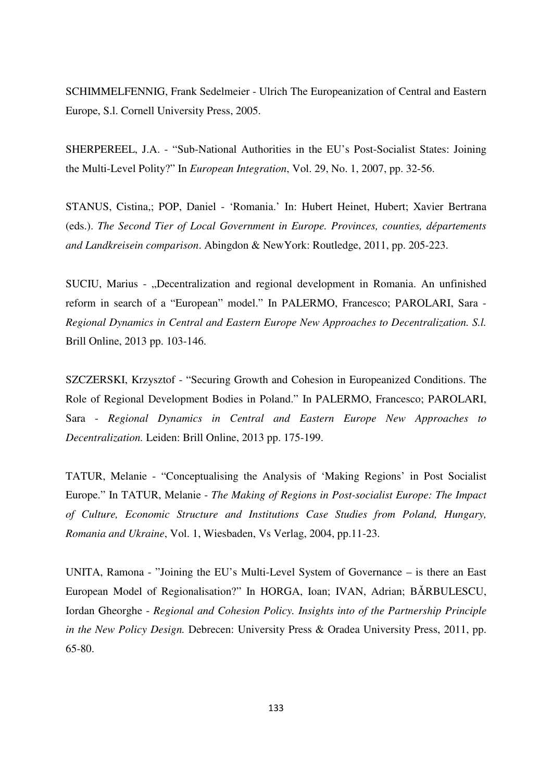SCHIMMELFENNIG, Frank Sedelmeier - Ulrich The Europeanization of Central and Eastern Europe, S.l. Cornell University Press, 2005.

SHERPEREEL, J.A. - "Sub-National Authorities in the EU's Post-Socialist States: Joining the Multi-Level Polity?" In *European Integration*, Vol. 29, No. 1, 2007, pp. 32-56.

STANUS, Cistina,; POP, Daniel - 'Romania.' In: Hubert Heinet, Hubert; Xavier Bertrana (eds.). *The Second Tier of Local Government in Europe. Provinces, counties, départements and Landkreisein comparison*. Abingdon & NewYork: Routledge, 2011, pp. 205-223.

SUCIU, Marius - "Decentralization and regional development in Romania. An unfinished reform in search of a "European" model." In PALERMO, Francesco; PAROLARI, Sara - *Regional Dynamics in Central and Eastern Europe New Approaches to Decentralization. S.l.*  Brill Online, 2013 pp. 103-146.

SZCZERSKI, Krzysztof - "Securing Growth and Cohesion in Europeanized Conditions. The Role of Regional Development Bodies in Poland." In PALERMO, Francesco; PAROLARI, Sara - *Regional Dynamics in Central and Eastern Europe New Approaches to Decentralization.* Leiden: Brill Online, 2013 pp. 175-199.

TATUR, Melanie - "Conceptualising the Analysis of 'Making Regions' in Post Socialist Europe." In TATUR, Melanie - *The Making of Regions in Post-socialist Europe: The Impact of Culture, Economic Structure and Institutions Case Studies from Poland, Hungary, Romania and Ukraine*, Vol. 1, Wiesbaden, Vs Verlag, 2004, pp.11-23.

UNITA, Ramona - "Joining the EU's Multi-Level System of Governance – is there an East European Model of Regionalisation?" In HORGA, Ioan; IVAN, Adrian; BĂRBULESCU, Iordan Gheorghe - *Regional and Cohesion Policy. Insights into of the Partnership Principle in the New Policy Design.* Debrecen: University Press & Oradea University Press, 2011, pp. 65-80.